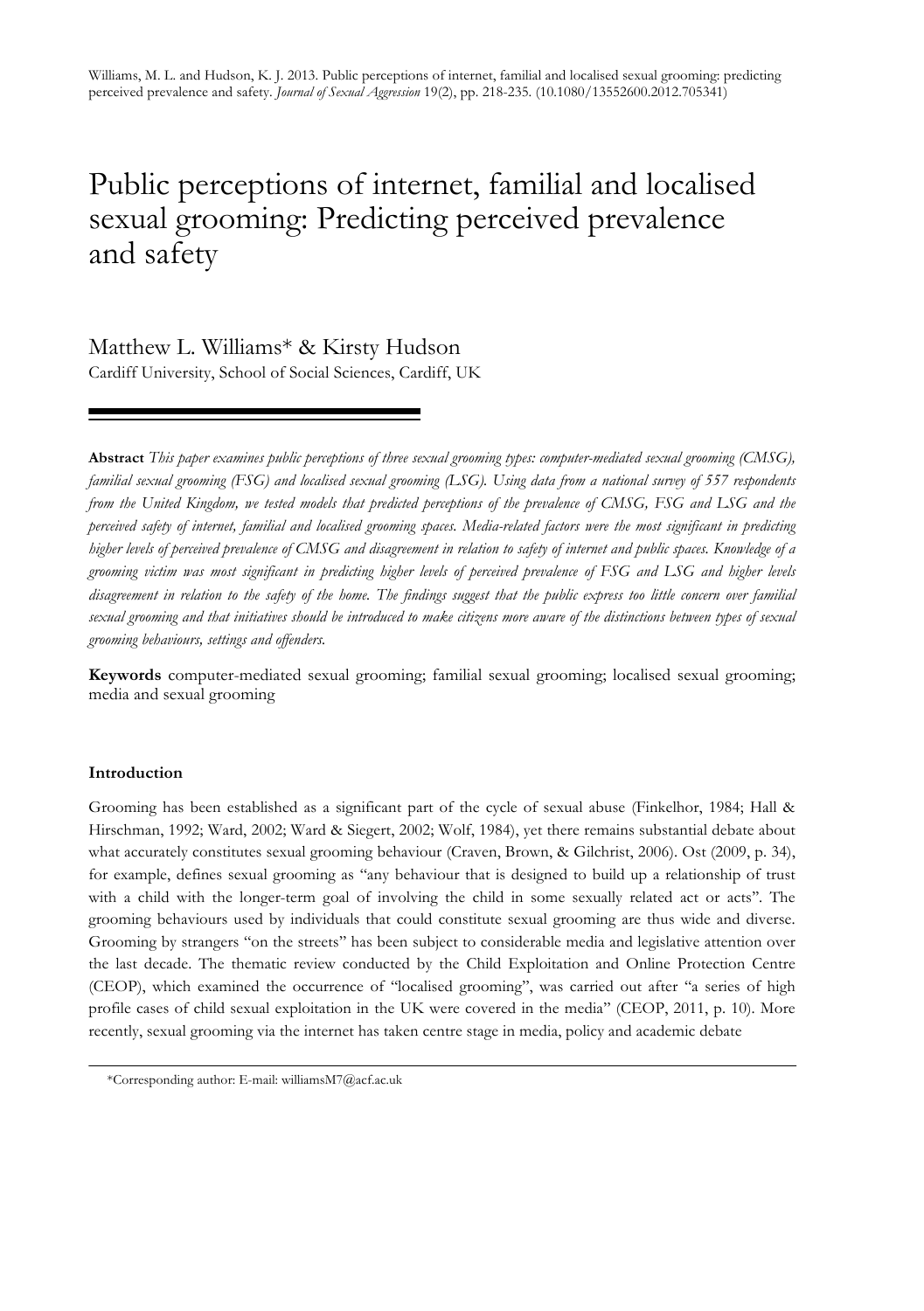# Public perceptions of internet, familial and localised sexual grooming: Predicting perceived prevalence and safety

Matthew L. Williams\* & Kirsty Hudson Cardiff University, School of Social Sciences, Cardiff, UK

**Abstract** *This paper examines public perceptions of three sexual grooming types: computer-mediated sexual grooming (CMSG), familial sexual grooming (FSG) and localised sexual grooming (LSG). Using data from a national survey of 557 respondents from the United Kingdom, we tested models that predicted perceptions of the prevalence of CMSG, FSG and LSG and the perceived safety of internet, familial and localised grooming spaces. Media-related factors were the most significant in predicting higher levels of perceived prevalence of CMSG and disagreement in relation to safety of internet and public spaces. Knowledge of a grooming victim was most significant in predicting higher levels of perceived prevalence of FSG and LSG and higher levels disagreement in relation to the safety of the home. The findings suggest that the public express too little concern over familial sexual grooming and that initiatives should be introduced to make citizens more aware of the distinctions between types of sexual grooming behaviours, settings and offenders.*

**Keywords** computer-mediated sexual grooming; familial sexual grooming; localised sexual grooming; media and sexual grooming

# **Introduction**

Grooming has been established as a significant part of the cycle of sexual abuse (Finkelhor, 1984; Hall & Hirschman, 1992; Ward, 2002; Ward & Siegert, 2002; Wolf, 1984), yet there remains substantial debate about what accurately constitutes sexual grooming behaviour (Craven, Brown, & Gilchrist, 2006). Ost (2009, p. 34), for example, defines sexual grooming as ''any behaviour that is designed to build up a relationship of trust with a child with the longer-term goal of involving the child in some sexually related act or acts''. The grooming behaviours used by individuals that could constitute sexual grooming are thus wide and diverse. Grooming by strangers ''on the streets'' has been subject to considerable media and legislative attention over the last decade. The thematic review conducted by the Child Exploitation and Online Protection Centre (CEOP), which examined the occurrence of ''localised grooming'', was carried out after ''a series of high profile cases of child sexual exploitation in the UK were covered in the media'' (CEOP, 2011, p. 10). More recently, sexual grooming via the internet has taken centre stage in media, policy and academic debate

<sup>\*</sup>Corresponding author: E-mail: williamsM7@acf.ac.uk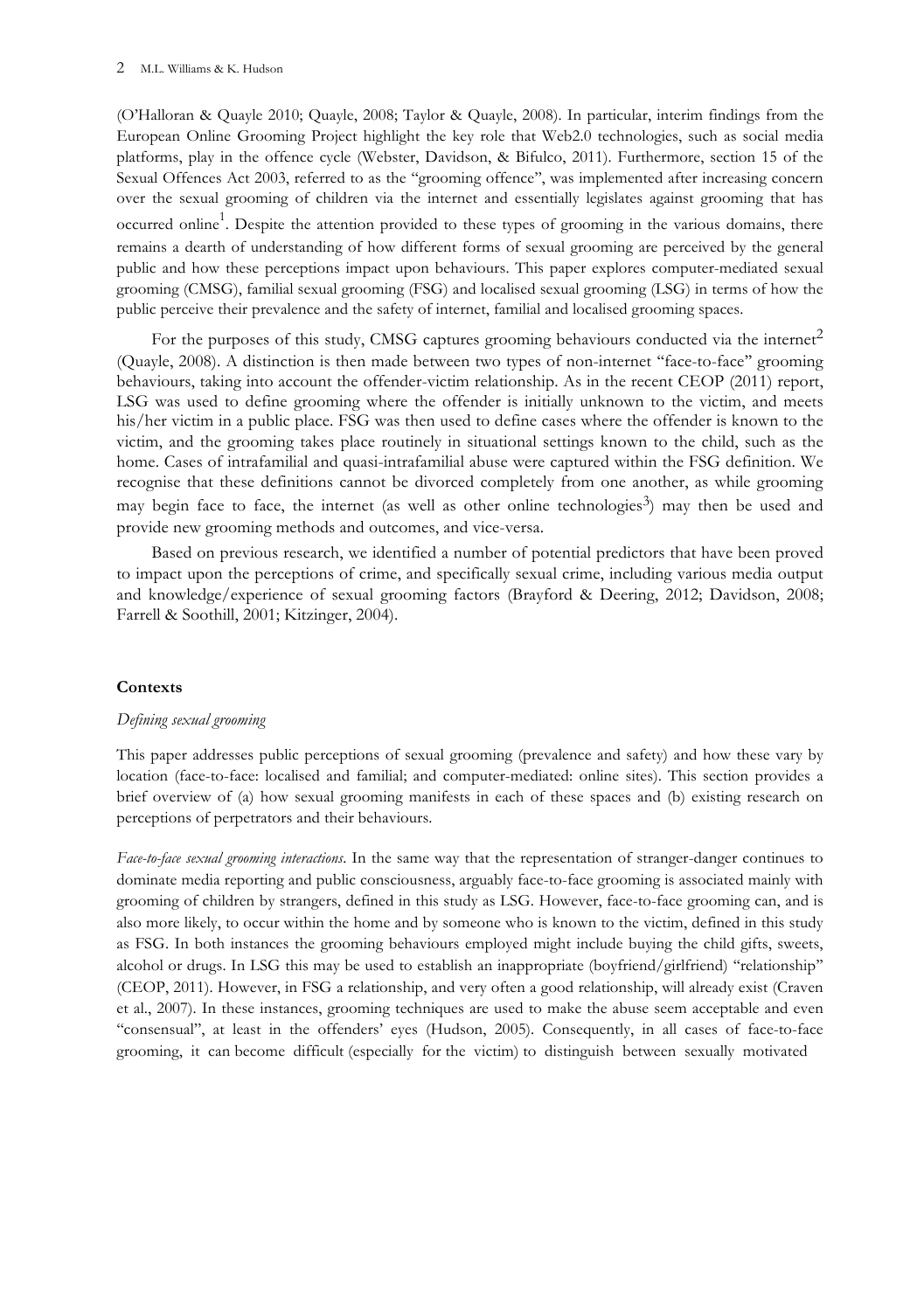(O'Halloran & Quayle 2010; Quayle, 2008; Taylor & Quayle, 2008). In particular, interim findings from the European Online Grooming Project highlight the key role that Web2.0 technologies, such as social media platforms, play in the offence cycle (Webster, Davidson, & Bifulco, 2011). Furthermore, section 15 of the Sexual Offences Act 2003, referred to as the ''grooming offence'', was implemented after increasing concern over the sexual grooming of children via the internet and essentially legislates against grooming that has occurred online<sup>1</sup>. Despite the attention provided to these types of grooming in the various domains, there remains a dearth of understanding of how different forms of sexual grooming are perceived by the general public and how these perceptions impact upon behaviours. This paper explores computer-mediated sexual grooming (CMSG), familial sexual grooming (FSG) and localised sexual grooming (LSG) in terms of how the public perceive their prevalence and the safety of internet, familial and localised grooming spaces.

For the purposes of this study, CMSG captures grooming behaviours conducted via the internet<sup>2</sup> (Quayle, 2008). A distinction is then made between two types of non-internet ''face-to-face'' grooming behaviours, taking into account the offender-victim relationship. As in the recent CEOP (2011) report, LSG was used to define grooming where the offender is initially unknown to the victim, and meets his/her victim in a public place. FSG was then used to define cases where the offender is known to the victim, and the grooming takes place routinely in situational settings known to the child, such as the home. Cases of intrafamilial and quasi-intrafamilial abuse were captured within the FSG definition. We recognise that these definitions cannot be divorced completely from one another, as while grooming may begin face to face, the internet (as well as other online technologies<sup>3</sup>) may then be used and provide new grooming methods and outcomes, and vice-versa.

Based on previous research, we identified a number of potential predictors that have been proved to impact upon the perceptions of crime, and specifically sexual crime, including various media output and knowledge/experience of sexual grooming factors (Brayford & Deering, 2012; Davidson, 2008; Farrell & Soothill, 2001; Kitzinger, 2004).

## **Contexts**

## *Defining sexual grooming*

This paper addresses public perceptions of sexual grooming (prevalence and safety) and how these vary by location (face-to-face: localised and familial; and computer-mediated: online sites). This section provides a brief overview of (a) how sexual grooming manifests in each of these spaces and (b) existing research on perceptions of perpetrators and their behaviours.

*Face-to-face sexual grooming interactions*. In the same way that the representation of stranger-danger continues to dominate media reporting and public consciousness, arguably face-to-face grooming is associated mainly with grooming of children by strangers, defined in this study as LSG. However, face-to-face grooming can, and is also more likely, to occur within the home and by someone who is known to the victim, defined in this study as FSG. In both instances the grooming behaviours employed might include buying the child gifts, sweets, alcohol or drugs. In LSG this may be used to establish an inappropriate (boyfriend/girlfriend) ''relationship'' (CEOP, 2011). However, in FSG a relationship, and very often a good relationship, will already exist (Craven et al., 2007). In these instances, grooming techniques are used to make the abuse seem acceptable and even ''consensual'', at least in the offenders' eyes (Hudson, 2005). Consequently, in all cases of face-to-face grooming, it can become difficult (especially for the victim) to distinguish between sexually motivated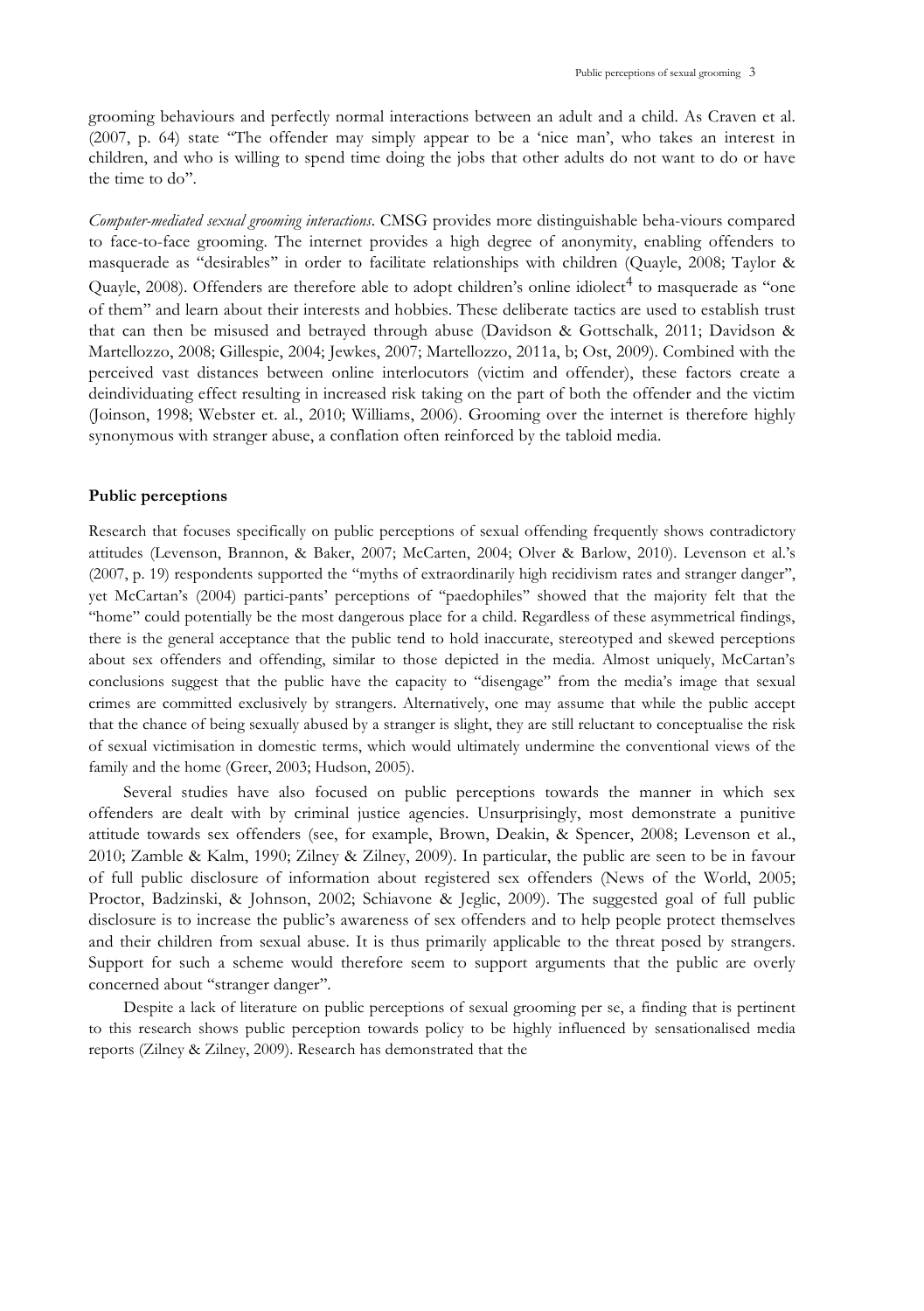grooming behaviours and perfectly normal interactions between an adult and a child. As Craven et al. (2007, p. 64) state ''The offender may simply appear to be a 'nice man', who takes an interest in children, and who is willing to spend time doing the jobs that other adults do not want to do or have the time to do''.

*Computer-mediated sexual grooming interactions*. CMSG provides more distinguishable beha-viours compared to face-to-face grooming. The internet provides a high degree of anonymity, enabling offenders to masquerade as ''desirables'' in order to facilitate relationships with children (Quayle, 2008; Taylor & Quayle, 2008). Offenders are therefore able to adopt children's online idiolect<sup>4</sup> to masquerade as "one of them'' and learn about their interests and hobbies. These deliberate tactics are used to establish trust that can then be misused and betrayed through abuse (Davidson & Gottschalk, 2011; Davidson & Martellozzo, 2008; Gillespie, 2004; Jewkes, 2007; Martellozzo, 2011a, b; Ost, 2009). Combined with the perceived vast distances between online interlocutors (victim and offender), these factors create a deindividuating effect resulting in increased risk taking on the part of both the offender and the victim (Joinson, 1998; Webster et. al., 2010; Williams, 2006). Grooming over the internet is therefore highly synonymous with stranger abuse, a conflation often reinforced by the tabloid media.

## **Public perceptions**

Research that focuses specifically on public perceptions of sexual offending frequently shows contradictory attitudes (Levenson, Brannon, & Baker, 2007; McCarten, 2004; Olver & Barlow, 2010). Levenson et al.'s (2007, p. 19) respondents supported the ''myths of extraordinarily high recidivism rates and stranger danger'', yet McCartan's (2004) partici-pants' perceptions of ''paedophiles'' showed that the majority felt that the ''home'' could potentially be the most dangerous place for a child. Regardless of these asymmetrical findings, there is the general acceptance that the public tend to hold inaccurate, stereotyped and skewed perceptions about sex offenders and offending, similar to those depicted in the media. Almost uniquely, McCartan's conclusions suggest that the public have the capacity to ''disengage'' from the media's image that sexual crimes are committed exclusively by strangers. Alternatively, one may assume that while the public accept that the chance of being sexually abused by a stranger is slight, they are still reluctant to conceptualise the risk of sexual victimisation in domestic terms, which would ultimately undermine the conventional views of the family and the home (Greer, 2003; Hudson, 2005).

Several studies have also focused on public perceptions towards the manner in which sex offenders are dealt with by criminal justice agencies. Unsurprisingly, most demonstrate a punitive attitude towards sex offenders (see, for example, Brown, Deakin, & Spencer, 2008; Levenson et al., 2010; Zamble & Kalm, 1990; Zilney & Zilney, 2009). In particular, the public are seen to be in favour of full public disclosure of information about registered sex offenders (News of the World, 2005; Proctor, Badzinski, & Johnson, 2002; Schiavone & Jeglic, 2009). The suggested goal of full public disclosure is to increase the public's awareness of sex offenders and to help people protect themselves and their children from sexual abuse. It is thus primarily applicable to the threat posed by strangers. Support for such a scheme would therefore seem to support arguments that the public are overly concerned about ''stranger danger''.

Despite a lack of literature on public perceptions of sexual grooming per se, a finding that is pertinent to this research shows public perception towards policy to be highly influenced by sensationalised media reports (Zilney & Zilney, 2009). Research has demonstrated that the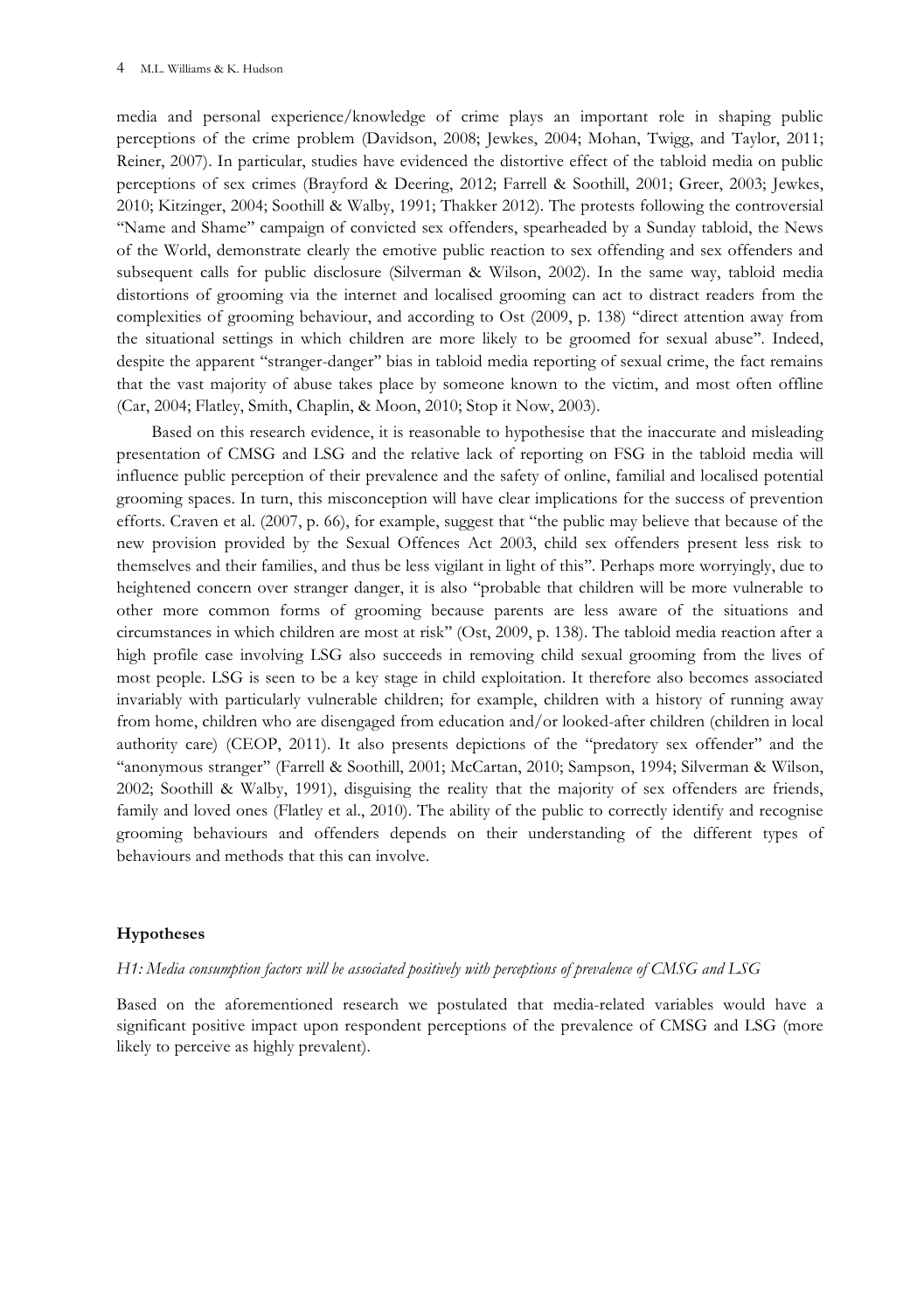media and personal experience/knowledge of crime plays an important role in shaping public perceptions of the crime problem (Davidson, 2008; Jewkes, 2004; Mohan, Twigg, and Taylor, 2011; Reiner, 2007). In particular, studies have evidenced the distortive effect of the tabloid media on public perceptions of sex crimes (Brayford & Deering, 2012; Farrell & Soothill, 2001; Greer, 2003; Jewkes, 2010; Kitzinger, 2004; Soothill & Walby, 1991; Thakker 2012). The protests following the controversial ''Name and Shame'' campaign of convicted sex offenders, spearheaded by a Sunday tabloid, the News of the World, demonstrate clearly the emotive public reaction to sex offending and sex offenders and subsequent calls for public disclosure (Silverman & Wilson, 2002). In the same way, tabloid media distortions of grooming via the internet and localised grooming can act to distract readers from the complexities of grooming behaviour, and according to Ost (2009, p. 138) ''direct attention away from the situational settings in which children are more likely to be groomed for sexual abuse''. Indeed, despite the apparent ''stranger-danger'' bias in tabloid media reporting of sexual crime, the fact remains that the vast majority of abuse takes place by someone known to the victim, and most often offline (Car, 2004; Flatley, Smith, Chaplin, & Moon, 2010; Stop it Now, 2003).

Based on this research evidence, it is reasonable to hypothesise that the inaccurate and misleading presentation of CMSG and LSG and the relative lack of reporting on FSG in the tabloid media will influence public perception of their prevalence and the safety of online, familial and localised potential grooming spaces. In turn, this misconception will have clear implications for the success of prevention efforts. Craven et al. (2007, p. 66), for example, suggest that ''the public may believe that because of the new provision provided by the Sexual Offences Act 2003, child sex offenders present less risk to themselves and their families, and thus be less vigilant in light of this''. Perhaps more worryingly, due to heightened concern over stranger danger, it is also ''probable that children will be more vulnerable to other more common forms of grooming because parents are less aware of the situations and circumstances in which children are most at risk'' (Ost, 2009, p. 138). The tabloid media reaction after a high profile case involving LSG also succeeds in removing child sexual grooming from the lives of most people. LSG is seen to be a key stage in child exploitation. It therefore also becomes associated invariably with particularly vulnerable children; for example, children with a history of running away from home, children who are disengaged from education and/or looked-after children (children in local authority care) (CEOP, 2011). It also presents depictions of the ''predatory sex offender'' and the ''anonymous stranger'' (Farrell & Soothill, 2001; McCartan, 2010; Sampson, 1994; Silverman & Wilson, 2002; Soothill & Walby, 1991), disguising the reality that the majority of sex offenders are friends, family and loved ones (Flatley et al., 2010). The ability of the public to correctly identify and recognise grooming behaviours and offenders depends on their understanding of the different types of behaviours and methods that this can involve.

## **Hypotheses**

## *H1: Media consumption factors will be associated positively with perceptions of prevalence of CMSG and LSG*

Based on the aforementioned research we postulated that media-related variables would have a significant positive impact upon respondent perceptions of the prevalence of CMSG and LSG (more likely to perceive as highly prevalent).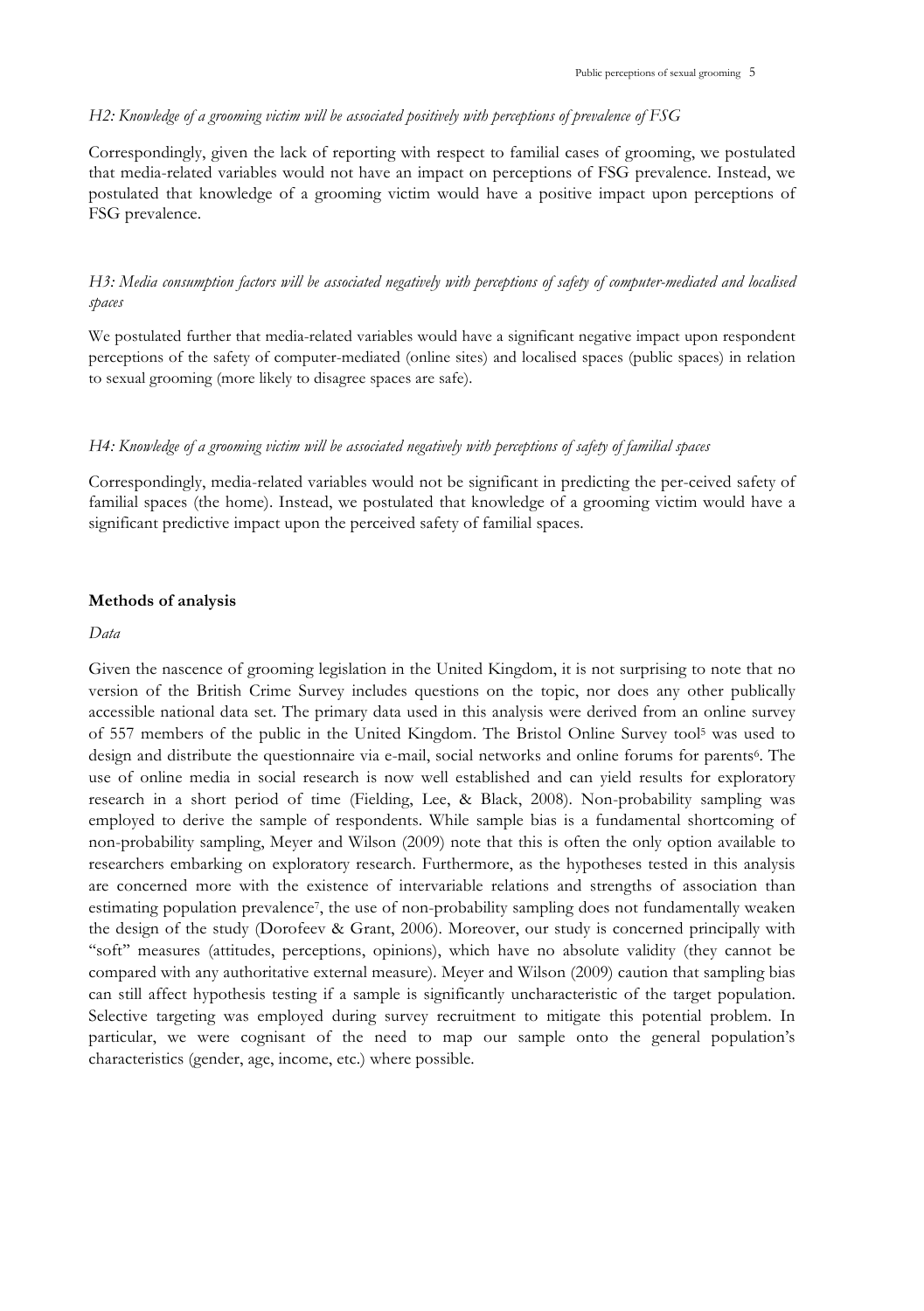# *H2: Knowledge of a grooming victim will be associated positively with perceptions of prevalence of FSG*

Correspondingly, given the lack of reporting with respect to familial cases of grooming, we postulated that media-related variables would not have an impact on perceptions of FSG prevalence. Instead, we postulated that knowledge of a grooming victim would have a positive impact upon perceptions of FSG prevalence.

# *H3: Media consumption factors will be associated negatively with perceptions of safety of computer-mediated and localised spaces*

We postulated further that media-related variables would have a significant negative impact upon respondent perceptions of the safety of computer-mediated (online sites) and localised spaces (public spaces) in relation to sexual grooming (more likely to disagree spaces are safe).

# *H4: Knowledge of a grooming victim will be associated negatively with perceptions of safety of familial spaces*

Correspondingly, media-related variables would not be significant in predicting the per-ceived safety of familial spaces (the home). Instead, we postulated that knowledge of a grooming victim would have a significant predictive impact upon the perceived safety of familial spaces.

## **Methods of analysis**

#### *Data*

Given the nascence of grooming legislation in the United Kingdom, it is not surprising to note that no version of the British Crime Survey includes questions on the topic, nor does any other publically accessible national data set. The primary data used in this analysis were derived from an online survey of 557 members of the public in the United Kingdom. The Bristol Online Survey tool5 was used to design and distribute the questionnaire via e-mail, social networks and online forums for parents6. The use of online media in social research is now well established and can yield results for exploratory research in a short period of time (Fielding, Lee, & Black, 2008). Non-probability sampling was employed to derive the sample of respondents. While sample bias is a fundamental shortcoming of non-probability sampling, Meyer and Wilson (2009) note that this is often the only option available to researchers embarking on exploratory research. Furthermore, as the hypotheses tested in this analysis are concerned more with the existence of intervariable relations and strengths of association than estimating population prevalence7, the use of non-probability sampling does not fundamentally weaken the design of the study (Dorofeev & Grant, 2006). Moreover, our study is concerned principally with ''soft'' measures (attitudes, perceptions, opinions), which have no absolute validity (they cannot be compared with any authoritative external measure). Meyer and Wilson (2009) caution that sampling bias can still affect hypothesis testing if a sample is significantly uncharacteristic of the target population. Selective targeting was employed during survey recruitment to mitigate this potential problem. In particular, we were cognisant of the need to map our sample onto the general population's characteristics (gender, age, income, etc.) where possible.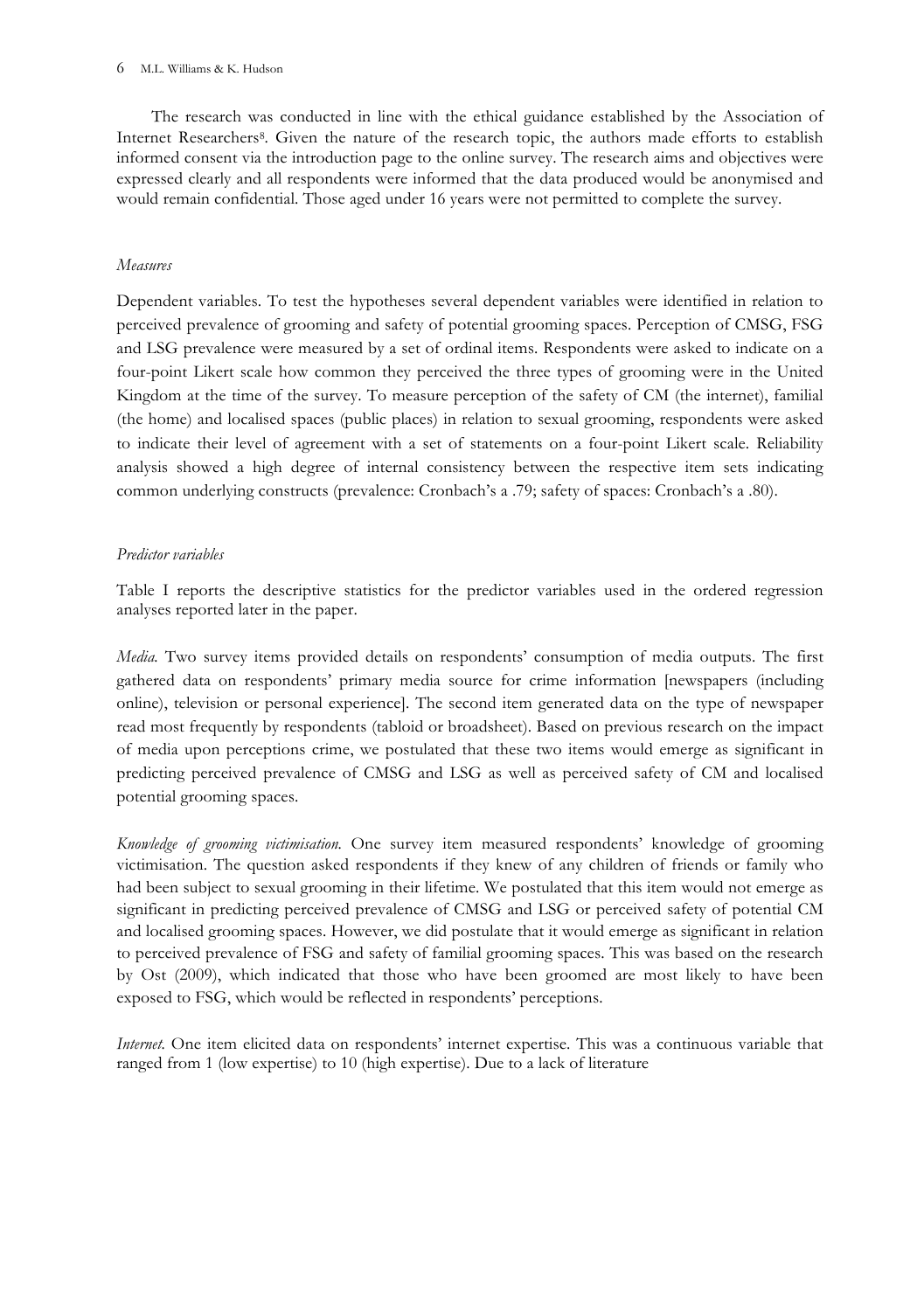#### 6 M.L. Williams & K. Hudson

The research was conducted in line with the ethical guidance established by the Association of Internet Researchers8. Given the nature of the research topic, the authors made efforts to establish informed consent via the introduction page to the online survey. The research aims and objectives were expressed clearly and all respondents were informed that the data produced would be anonymised and would remain confidential. Those aged under 16 years were not permitted to complete the survey.

# *Measures*

Dependent variables. To test the hypotheses several dependent variables were identified in relation to perceived prevalence of grooming and safety of potential grooming spaces. Perception of CMSG, FSG and LSG prevalence were measured by a set of ordinal items. Respondents were asked to indicate on a four-point Likert scale how common they perceived the three types of grooming were in the United Kingdom at the time of the survey. To measure perception of the safety of CM (the internet), familial (the home) and localised spaces (public places) in relation to sexual grooming, respondents were asked to indicate their level of agreement with a set of statements on a four-point Likert scale. Reliability analysis showed a high degree of internal consistency between the respective item sets indicating common underlying constructs (prevalence: Cronbach's a .79; safety of spaces: Cronbach's a .80).

# *Predictor variables*

Table I reports the descriptive statistics for the predictor variables used in the ordered regression analyses reported later in the paper.

*Media.* Two survey items provided details on respondents' consumption of media outputs. The first gathered data on respondents' primary media source for crime information [newspapers (including online), television or personal experience]. The second item generated data on the type of newspaper read most frequently by respondents (tabloid or broadsheet). Based on previous research on the impact of media upon perceptions crime, we postulated that these two items would emerge as significant in predicting perceived prevalence of CMSG and LSG as well as perceived safety of CM and localised potential grooming spaces.

*Knowledge of grooming victimisation.* One survey item measured respondents' knowledge of grooming victimisation. The question asked respondents if they knew of any children of friends or family who had been subject to sexual grooming in their lifetime. We postulated that this item would not emerge as significant in predicting perceived prevalence of CMSG and LSG or perceived safety of potential CM and localised grooming spaces. However, we did postulate that it would emerge as significant in relation to perceived prevalence of FSG and safety of familial grooming spaces. This was based on the research by Ost (2009), which indicated that those who have been groomed are most likely to have been exposed to FSG, which would be reflected in respondents' perceptions.

*Internet*. One item elicited data on respondents' internet expertise. This was a continuous variable that ranged from 1 (low expertise) to 10 (high expertise). Due to a lack of literature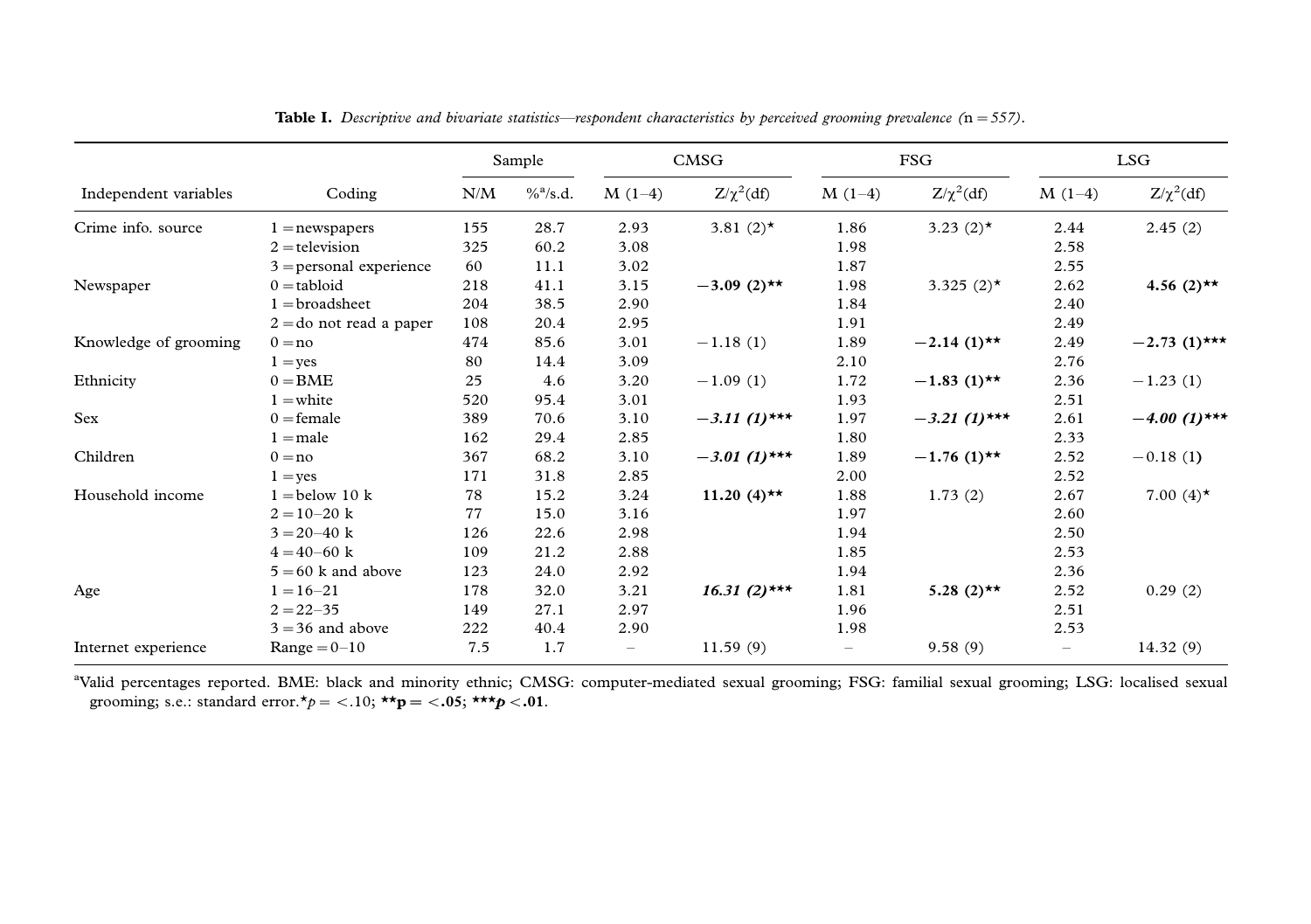|                       |                           | Sample |               | <b>CMSG</b>              |                |                          | <b>FSG</b>     | <b>LSG</b>               |                |
|-----------------------|---------------------------|--------|---------------|--------------------------|----------------|--------------------------|----------------|--------------------------|----------------|
| Independent variables | Coding                    | N/M    | $% ^{a}/s.d.$ | $M(1-4)$                 | $Z/\chi^2(df)$ | $M(1-4)$                 | $Z/\chi^2(df)$ | $M(1-4)$                 | $Z/\chi^2(df)$ |
| Crime info. source    | $1 =$ newspapers          | 155    | 28.7          | 2.93                     | 3.81 $(2)$ *   | 1.86                     | 3.23 $(2)$ *   | 2.44                     | 2.45(2)        |
|                       | $2 =$ television          | 325    | 60.2          | 3.08                     |                | 1.98                     |                | 2.58                     |                |
|                       | $3 =$ personal experience | 60     | 11.1          | 3.02                     |                | 1.87                     |                | 2.55                     |                |
| Newspaper             | $0 =$ tabloid             | 218    | 41.1          | 3.15                     | $-3.09(2)$ **  | 1.98                     | 3.325 $(2)$ *  | 2.62                     | 4.56 $(2)$ **  |
|                       | $1 =$ broadsheet          | 204    | 38.5          | 2.90                     |                | 1.84                     |                | 2.40                     |                |
|                       | $2 =$ do not read a paper | 108    | 20.4          | 2.95                     |                | 1.91                     |                | 2.49                     |                |
| Knowledge of grooming | $0 = no$                  | 474    | 85.6          | 3.01                     | $-1.18(1)$     | 1.89                     | $-2.14(1)$ **  | 2.49                     | $-2.73$ (1)*** |
|                       | $1 = yes$                 | 80     | 14.4          | 3.09                     |                | 2.10                     |                | 2.76                     |                |
| Ethnicity             | $0 = BME$                 | 25     | 4.6           | 3.20                     | $-1.09(1)$     | 1.72                     | $-1.83(1)$ **  | 2.36                     | $-1.23(1)$     |
|                       | $1 =$ white               | 520    | 95.4          | 3.01                     |                | 1.93                     |                | 2.51                     |                |
| Sex                   | $0 =$ female              | 389    | 70.6          | 3.10                     | $-3.11(1)$ *** | 1.97                     | $-3.21(1)$ *** | 2.61                     | $-4.00(1)$ *** |
|                       | $1 = male$                | 162    | 29.4          | 2.85                     |                | 1.80                     |                | 2.33                     |                |
| Children              | $0 = no$                  | 367    | 68.2          | 3.10                     | $-3.01(1)$ *** | 1.89                     | $-1.76$ (1)**  | 2.52                     | $-0.18(1)$     |
|                       | $1 =$ ves                 | 171    | 31.8          | 2.85                     |                | 2.00                     |                | 2.52                     |                |
| Household income      | $1 =$ below 10 k          | 78     | 15.2          | 3.24                     | 11.20 $(4)$ ** | 1.88                     | 1.73(2)        | 2.67                     | 7.00 $(4)^*$   |
|                       | $2 = 10 - 20$ k           | 77     | 15.0          | 3.16                     |                | 1.97                     |                | 2.60                     |                |
|                       | $3 = 20 - 40$ k           | 126    | 22.6          | 2.98                     |                | 1.94                     |                | 2.50                     |                |
|                       | $4 = 40 - 60$ k           | 109    | 21.2          | 2.88                     |                | 1.85                     |                | 2.53                     |                |
|                       | $5 = 60$ k and above      | 123    | 24.0          | 2.92                     |                | 1.94                     |                | 2.36                     |                |
| Age                   | $1 = 16 - 21$             | 178    | 32.0          | 3.21                     | $16.31(2)$ *** | 1.81                     | 5.28 $(2)$ **  | 2.52                     | 0.29(2)        |
|                       | $2 = 22 - 35$             | 149    | 27.1          | 2.97                     |                | 1.96                     |                | 2.51                     |                |
|                       | $3 = 36$ and above        | 222    | 40.4          | 2.90                     |                | 1.98                     |                | 2.53                     |                |
| Internet experience   | $Range = 0-10$            | 7.5    | 1.7           | $\overline{\phantom{0}}$ | 11.59(9)       | $\overline{\phantom{0}}$ | 9.58(9)        | $\overline{\phantom{0}}$ | 14.32(9)       |

Table I. Descriptive and bivariate statistics—respondent characteristics by perceived grooming prevalence ( $n = 557$ ).

a Valid percentages reported. BME: black and minority ethnic; CMSG: computer-mediated sexual grooming; FSG: familial sexual grooming; LSG: localised sexual grooming; s.e.: standard error.\* $p = <.10$ ; \*\*p = <.05; \*\*\*p <.01.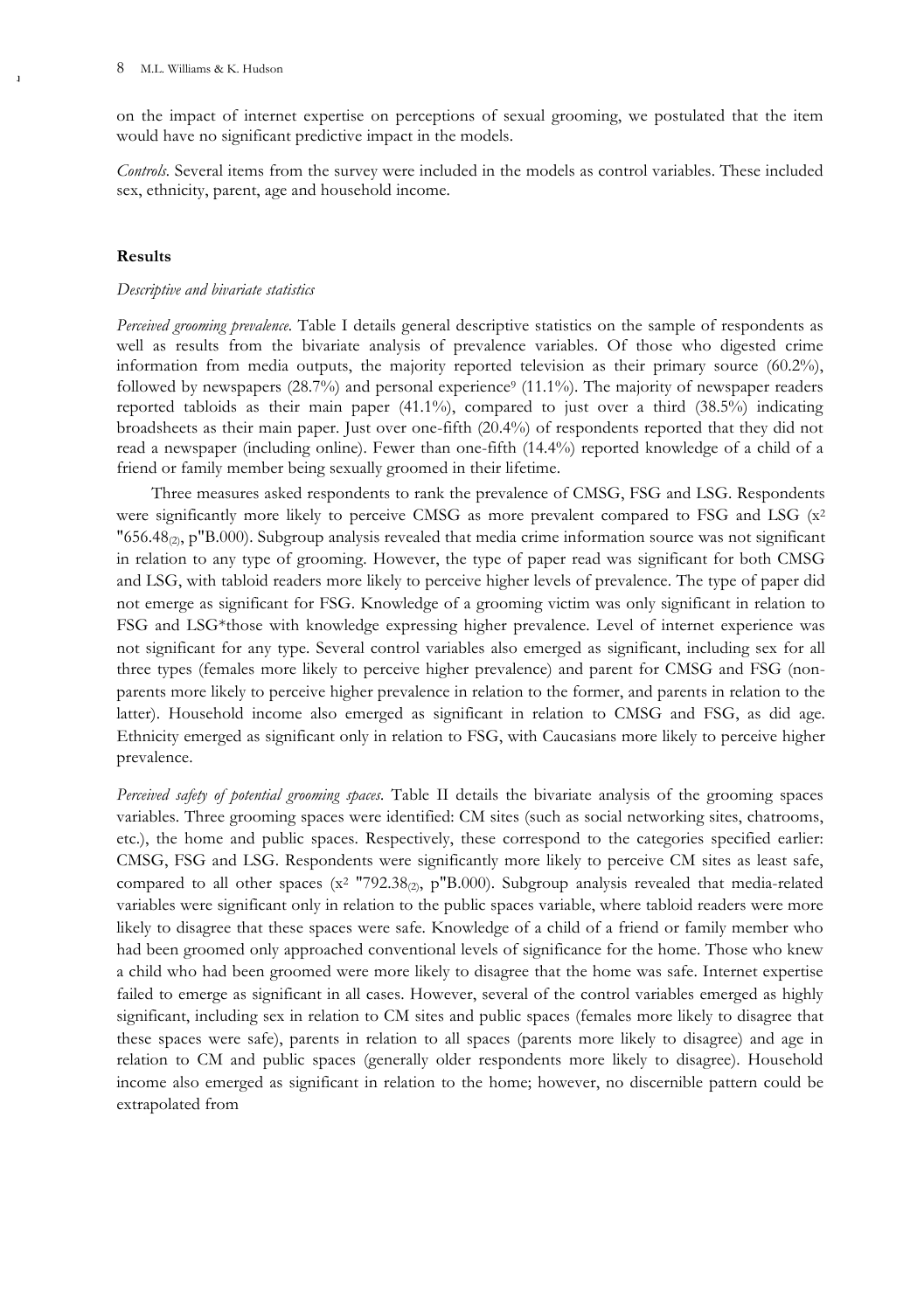on the impact of internet expertise on perceptions of sexual grooming, we postulated that the item would have no significant predictive impact in the models.

*Controls.* Several items from the survey were included in the models as control variables. These included sex, ethnicity, parent, age and household income.

#### **Results**

- 4

#### *Descriptive and bivariate statistics*

*Perceived grooming prevalence.* Table I details general descriptive statistics on the sample of respondents as well as results from the bivariate analysis of prevalence variables. Of those who digested crime information from media outputs, the majority reported television as their primary source (60.2%), followed by newspapers  $(28.7%)$  and personal experience<sup>9</sup>  $(11.1%)$ . The majority of newspaper readers reported tabloids as their main paper (41.1%), compared to just over a third (38.5%) indicating broadsheets as their main paper. Just over one-fifth (20.4%) of respondents reported that they did not read a newspaper (including online). Fewer than one-fifth (14.4%) reported knowledge of a child of a friend or family member being sexually groomed in their lifetime.

Three measures asked respondents to rank the prevalence of CMSG, FSG and LSG. Respondents were significantly more likely to perceive CMSG as more prevalent compared to FSG and LSG (x<sup>2</sup> "656.48(2), p"B.000). Subgroup analysis revealed that media crime information source was not significant in relation to any type of grooming. However, the type of paper read was significant for both CMSG and LSG, with tabloid readers more likely to perceive higher levels of prevalence. The type of paper did not emerge as significant for FSG. Knowledge of a grooming victim was only significant in relation to FSG and LSG\*those with knowledge expressing higher prevalence. Level of internet experience was not significant for any type. Several control variables also emerged as significant, including sex for all three types (females more likely to perceive higher prevalence) and parent for CMSG and FSG (nonparents more likely to perceive higher prevalence in relation to the former, and parents in relation to the latter). Household income also emerged as significant in relation to CMSG and FSG, as did age. Ethnicity emerged as significant only in relation to FSG, with Caucasians more likely to perceive higher prevalence.

*Perceived safety of potential grooming spaces.* Table II details the bivariate analysis of the grooming spaces variables. Three grooming spaces were identified: CM sites (such as social networking sites, chatrooms, etc.), the home and public spaces. Respectively, these correspond to the categories specified earlier: CMSG, FSG and LSG. Respondents were significantly more likely to perceive CM sites as least safe, compared to all other spaces ( $x^2$  "792.38 $\varphi$ , p"B.000). Subgroup analysis revealed that media-related variables were significant only in relation to the public spaces variable, where tabloid readers were more likely to disagree that these spaces were safe. Knowledge of a child of a friend or family member who had been groomed only approached conventional levels of significance for the home. Those who knew a child who had been groomed were more likely to disagree that the home was safe. Internet expertise failed to emerge as significant in all cases. However, several of the control variables emerged as highly significant, including sex in relation to CM sites and public spaces (females more likely to disagree that these spaces were safe), parents in relation to all spaces (parents more likely to disagree) and age in relation to CM and public spaces (generally older respondents more likely to disagree). Household income also emerged as significant in relation to the home; however, no discernible pattern could be extrapolated from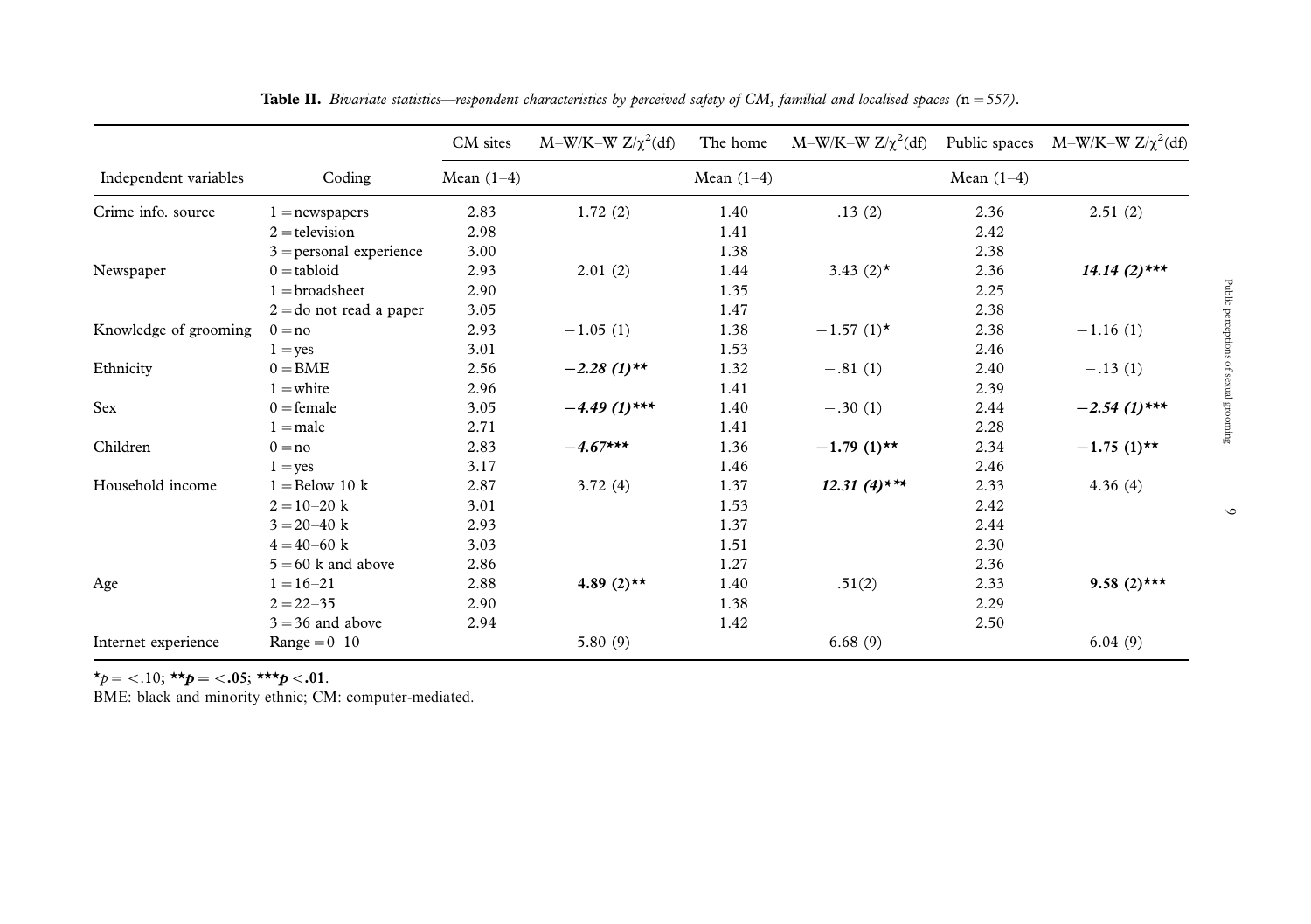|                       |                           | CM sites                 | M-W/K-W $Z/\chi^2(df)$ | The home     | M-W/K-W $Z/\chi^2(df)$ |              | Public spaces $M-W/K-W Z/\chi^2(df)$ |
|-----------------------|---------------------------|--------------------------|------------------------|--------------|------------------------|--------------|--------------------------------------|
| Independent variables | Coding                    | Mean $(1-4)$             |                        | Mean $(1-4)$ |                        | Mean $(1-4)$ |                                      |
| Crime info. source    | $1 =$ newspapers          | 2.83                     | 1.72(2)                | 1.40         | .13(2)                 | 2.36         | 2.51(2)                              |
|                       | $2 =$ television          | 2.98                     |                        | 1.41         |                        | 2.42         |                                      |
|                       | $3 =$ personal experience | 3.00                     |                        | 1.38         |                        | 2.38         |                                      |
| Newspaper             | $0 =$ tabloid             | 2.93                     | 2.01(2)                | 1.44         | 3.43 $(2)$ *           | 2.36         | $14.14(2)$ ***                       |
|                       | $1 =$ broadsheet          | 2.90                     |                        | 1.35         |                        | 2.25         |                                      |
|                       | $2 =$ do not read a paper | 3.05                     |                        | 1.47         |                        | 2.38         |                                      |
| Knowledge of grooming | $0 = no$                  | 2.93                     | $-1.05(1)$             | 1.38         | $-1.57(1)$ *           | 2.38         | $-1.16(1)$                           |
|                       | $1 = yes$                 | 3.01                     |                        | 1.53         |                        | 2.46         |                                      |
| Ethnicity             | $0 = BME$                 | 2.56                     | $-2.28(1)$ **          | 1.32         | $-.81(1)$              | 2.40         | $-.13(1)$                            |
|                       | $1 =$ white               | 2.96                     |                        | 1.41         |                        | 2.39         |                                      |
| Sex                   | $0 =$ female              | 3.05                     | $-4.49(1)$ ***         | 1.40         | $-.30(1)$              | 2.44         | $-2.54(1)$ ***                       |
|                       | $1 = male$                | 2.71                     |                        | 1.41         |                        | 2.28         |                                      |
| Children              | $0 = no$                  | 2.83                     | $-4.67***$             | 1.36         | $-1.79(1)$ **          | 2.34         | $-1.75(1)$ **                        |
|                       | $1 = \text{ves}$          | 3.17                     |                        | 1.46         |                        | 2.46         |                                      |
| Household income      | $1 =$ Below 10 k          | 2.87                     | 3.72(4)                | 1.37         | 12.31 $(4)$ ***        | 2.33         | 4.36(4)                              |
|                       | $2 = 10 - 20$ k           | 3.01                     |                        | 1.53         |                        | 2.42         |                                      |
|                       | $3 = 20 - 40$ k           | 2.93                     |                        | 1.37         |                        | 2.44         |                                      |
|                       | $4 = 40 - 60$ k           | 3.03                     |                        | 1.51         |                        | 2.30         |                                      |
|                       | $5 = 60$ k and above      | 2.86                     |                        | 1.27         |                        | 2.36         |                                      |
| Age                   | $1 = 16 - 21$             | 2.88                     | 4.89 $(2)$ **          | 1.40         | .51(2)                 | 2.33         | 9.58 $(2)$ ***                       |
|                       | $2 = 22 - 35$             | 2.90                     |                        | 1.38         |                        | 2.29         |                                      |
|                       | $3 = 36$ and above        | 2.94                     |                        | 1.42         |                        | 2.50         |                                      |
| Internet experience   | $Range = 0-10$            | $\overline{\phantom{m}}$ | 5.80(9)                |              | 6.68(9)                |              | 6.04(9)                              |

Table II. Bivariate statistics—respondent characteristics by perceived safety of CM, familial and localised spaces ( $n = 557$ ).

 $\star_p = \text{10}; \star\star_p = \text{10}; \star\star\star_p \text{1}.$ 

BME: black and minority ethnic; CM: computer-mediated.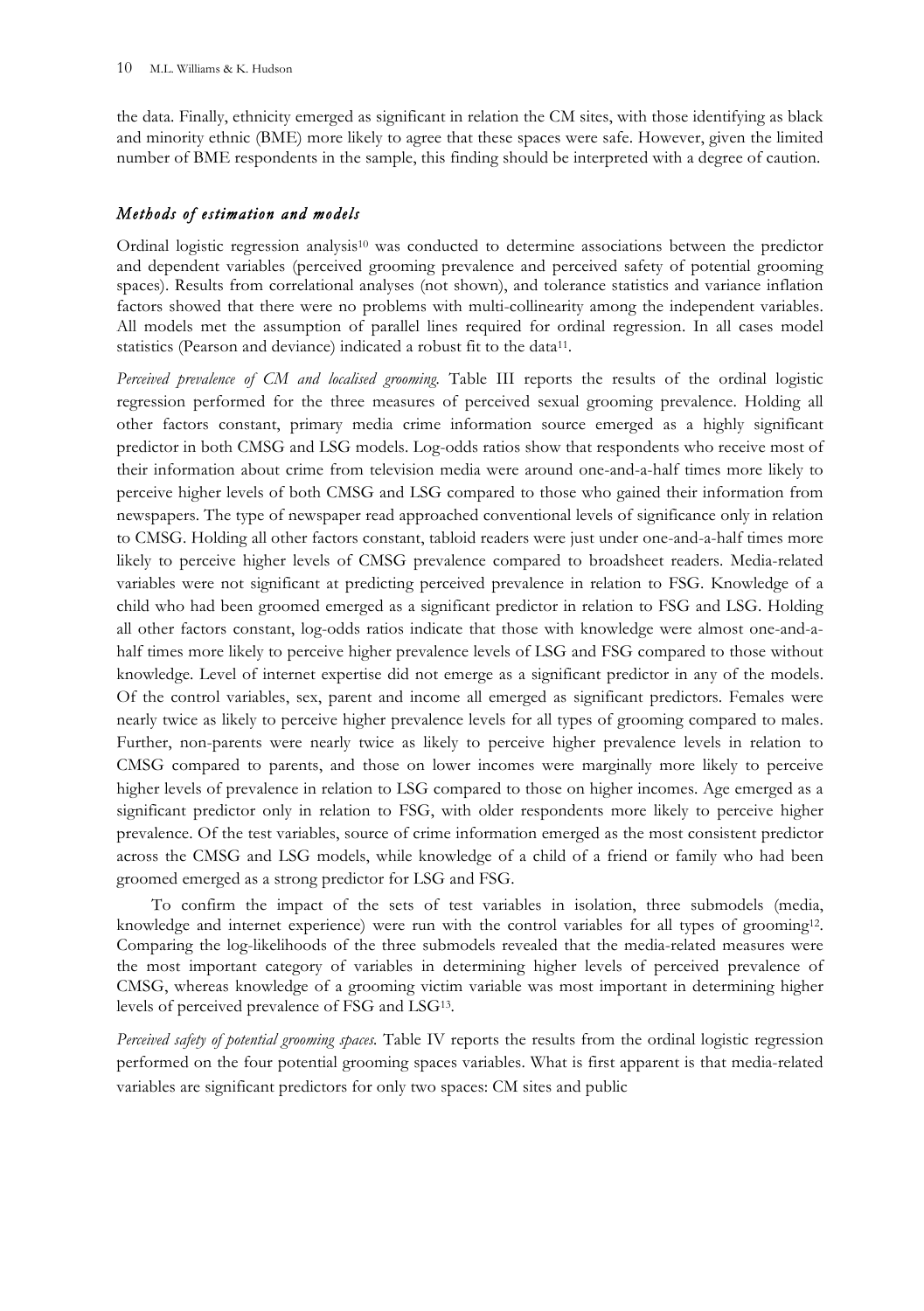the data. Finally, ethnicity emerged as significant in relation the CM sites, with those identifying as black and minority ethnic (BME) more likely to agree that these spaces were safe. However, given the limited number of BME respondents in the sample, this finding should be interpreted with a degree of caution.

# *Methods of estimation and models*

Ordinal logistic regression analysis<sup>10</sup> was conducted to determine associations between the predictor and dependent variables (perceived grooming prevalence and perceived safety of potential grooming spaces). Results from correlational analyses (not shown), and tolerance statistics and variance inflation factors showed that there were no problems with multi-collinearity among the independent variables. All models met the assumption of parallel lines required for ordinal regression. In all cases model statistics (Pearson and deviance) indicated a robust fit to the data<sup>11</sup>.

*Perceived prevalence of CM and localised grooming.* Table III reports the results of the ordinal logistic regression performed for the three measures of perceived sexual grooming prevalence. Holding all other factors constant, primary media crime information source emerged as a highly significant predictor in both CMSG and LSG models. Log-odds ratios show that respondents who receive most of their information about crime from television media were around one-and-a-half times more likely to perceive higher levels of both CMSG and LSG compared to those who gained their information from newspapers. The type of newspaper read approached conventional levels of significance only in relation to CMSG. Holding all other factors constant, tabloid readers were just under one-and-a-half times more likely to perceive higher levels of CMSG prevalence compared to broadsheet readers. Media-related variables were not significant at predicting perceived prevalence in relation to FSG. Knowledge of a child who had been groomed emerged as a significant predictor in relation to FSG and LSG. Holding all other factors constant, log-odds ratios indicate that those with knowledge were almost one-and-ahalf times more likely to perceive higher prevalence levels of LSG and FSG compared to those without knowledge. Level of internet expertise did not emerge as a significant predictor in any of the models. Of the control variables, sex, parent and income all emerged as significant predictors. Females were nearly twice as likely to perceive higher prevalence levels for all types of grooming compared to males. Further, non-parents were nearly twice as likely to perceive higher prevalence levels in relation to CMSG compared to parents, and those on lower incomes were marginally more likely to perceive higher levels of prevalence in relation to LSG compared to those on higher incomes. Age emerged as a significant predictor only in relation to FSG, with older respondents more likely to perceive higher prevalence. Of the test variables, source of crime information emerged as the most consistent predictor across the CMSG and LSG models, while knowledge of a child of a friend or family who had been groomed emerged as a strong predictor for LSG and FSG.

To confirm the impact of the sets of test variables in isolation, three submodels (media, knowledge and internet experience) were run with the control variables for all types of grooming12. Comparing the log-likelihoods of the three submodels revealed that the media-related measures were the most important category of variables in determining higher levels of perceived prevalence of CMSG, whereas knowledge of a grooming victim variable was most important in determining higher levels of perceived prevalence of FSG and LSG13.

*Perceived safety of potential grooming spaces.* Table IV reports the results from the ordinal logistic regression performed on the four potential grooming spaces variables. What is first apparent is that media-related variables are significant predictors for only two spaces: CM sites and public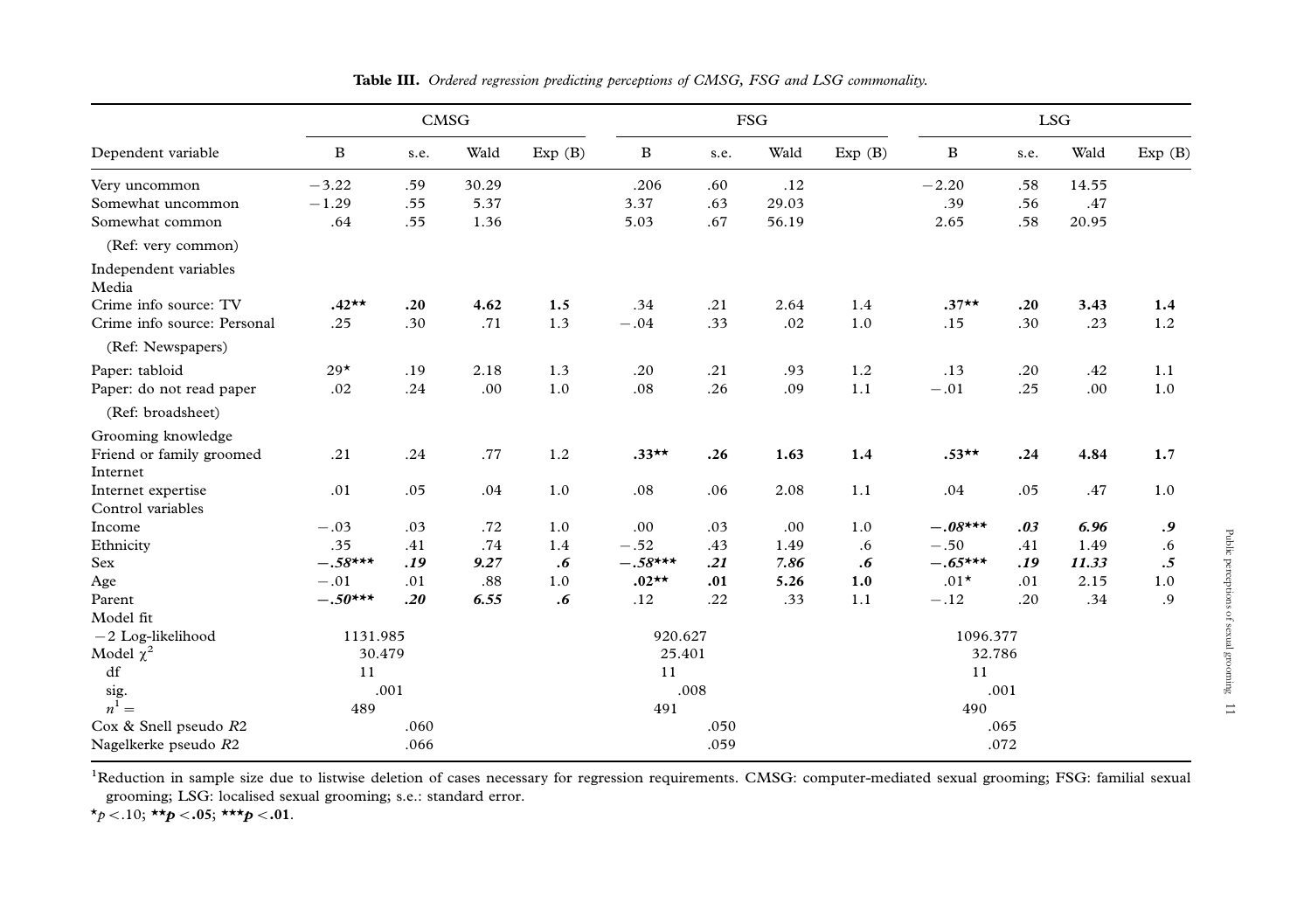|                                       |              |              |         |           | <b>FSG</b> |      | <b>LSG</b> |           |              |      |       |        |
|---------------------------------------|--------------|--------------|---------|-----------|------------|------|------------|-----------|--------------|------|-------|--------|
| Dependent variable                    | $\, {\bf B}$ | s.e.         | Wald    | Exp(B)    | $\bf{B}$   | s.e. | Wald       | Exp $(B)$ | $\, {\bf B}$ | s.e. | Wald  | Exp(B) |
| Very uncommon                         | $-3.22$      | .59          | 30.29   |           | .206       | .60  | .12        |           | $-2.20$      | .58  | 14.55 |        |
| Somewhat uncommon                     | $-1.29$      | .55          | 5.37    |           | 3.37       | .63  | 29.03      |           | .39          | .56  | .47   |        |
| Somewhat common<br>(Ref: very common) | .64          | .55          | 1.36    |           | 5.03       | .67  | 56.19      |           | 2.65         | .58  | 20.95 |        |
| Independent variables<br>Media        |              |              |         |           |            |      |            |           |              |      |       |        |
| Crime info source: TV                 | $.42**$      | .20          | 4.62    | 1.5       | .34        | .21  | 2.64       | 1.4       | $.37**$      | .20  | 3.43  | 1.4    |
| Crime info source: Personal           | .25          | .30          | .71     | 1.3       | $-.04$     | .33  | .02        | 1.0       | .15          | .30  | .23   | 1.2    |
| (Ref: Newspapers)                     |              |              |         |           |            |      |            |           |              |      |       |        |
| Paper: tabloid                        | $29*$        | .19          | 2.18    | 1.3       | .20        | .21  | .93        | 1.2       | .13          | .20  | .42   | 1.1    |
| Paper: do not read paper              | .02          | .24          | .00     | 1.0       | .08        | .26  | .09        | 1.1       | $-.01$       | .25  | .00   | 1.0    |
| (Ref: broadsheet)                     |              |              |         |           |            |      |            |           |              |      |       |        |
| Grooming knowledge                    |              |              |         |           |            |      |            |           |              |      |       |        |
| Friend or family groomed<br>Internet  | .21          | .24          | .77     | 1.2       | $.33***$   | .26  | 1.63       | 1.4       | $.53**$      | .24  | 4.84  | 1.7    |
| Internet expertise                    | .01          | .05          | .04     | 1.0       | .08        | .06  | 2.08       | 1.1       | .04          | .05  | .47   | 1.0    |
| Control variables                     |              |              |         |           |            |      |            |           |              |      |       |        |
| Income                                | $-.03$       | .03          | .72     | 1.0       | .00        | .03  | .00        | 1.0       | $-.08$ ***   | .03  | 6.96  | .9     |
| Ethnicity                             | .35          | .41          | .74     | 1.4       | $-.52$     | .43  | 1.49       | .6        | $-.50$       | .41  | 1.49  | .6     |
| Sex                                   | $-.58***$    | .19          | 9.27    | $\cdot 6$ | $-.58***$  | .21  | 7.86       | $.6\,$    | $-.65***$    | .19  | 11.33 | .5     |
| Age                                   | $-.01$       | .01          | .88     | 1.0       | $.02**$    | .01  | 5.26       | 1.0       | $.01*$       | .01  | 2.15  | 1.0    |
| Parent                                | $-.50***$    | .20          | 6.55    | $\cdot 6$ | .12        | .22  | .33        | 1.1       | $-.12$       | .20  | .34   | .9     |
| Model fit                             |              |              |         |           |            |      |            |           |              |      |       |        |
| $-2$ Log-likelihood                   | 1131.985     |              | 920.627 | 1096.377  |            |      |            |           |              |      |       |        |
| Model $\chi^2$                        | 30.479       |              |         |           | 25.401     |      |            |           | 32.786       |      |       |        |
| df                                    | 11           |              | 11      |           |            |      | 11         |           |              |      |       |        |
| sig.<br>$n^1 =$                       | .001         |              | .008    |           |            |      | .001       |           |              |      |       |        |
|                                       | 489          |              | 491     |           |            |      | 490        |           |              |      |       |        |
| Cox & Snell pseudo R2                 |              | .060<br>.066 |         |           |            | .050 |            |           | .065         |      |       |        |
| Nagelkerke pseudo R2                  |              |              | .059    |           |            | .072 |            |           |              |      |       |        |

Table III. Ordered regression predicting perceptions of CMSG, FSG and LSG commonality.

<sup>1</sup>Reduction in sample size due to listwise deletion of cases necessary for regression requirements. CMSG: computer-mediated sexual grooming; FSG: familial sexual grooming; LSG: localised sexual grooming; s.e.: standard error.

 $\star_p$  <.10;  $\star\star_p$  <.05;  $\star\star\star_p$  <.01.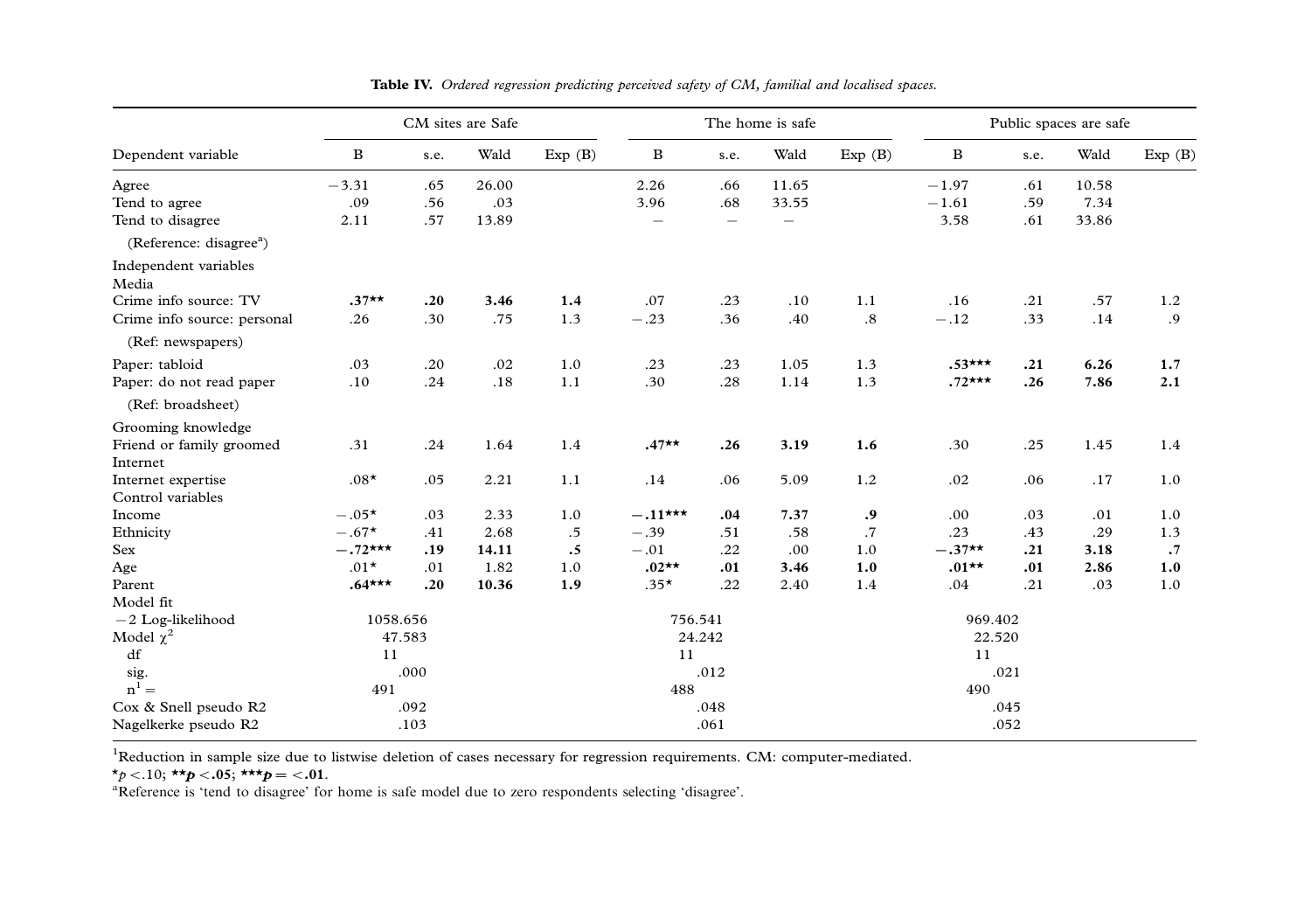|                                                         | CM sites are Safe |      |       |                      | The home is safe |      | Public spaces are safe   |           |          |      |       |           |
|---------------------------------------------------------|-------------------|------|-------|----------------------|------------------|------|--------------------------|-----------|----------|------|-------|-----------|
| Dependent variable                                      | B                 | s.e. | Wald  | Exp $(B)$            | B                | s.e. | Wald                     | Exp $(B)$ | B        | s.e. | Wald  | Exp $(B)$ |
| Agree                                                   | $-3.31$           | .65  | 26.00 |                      | 2.26             | .66  | 11.65                    |           | $-1.97$  | .61  | 10.58 |           |
| Tend to agree                                           | .09               | .56  | .03   |                      | 3.96             | .68  | 33.55                    |           | $-1.61$  | .59  | 7.34  |           |
| Tend to disagree<br>(Reference: disagree <sup>a</sup> ) | 2.11              | .57  | 13.89 |                      |                  |      | $\overline{\phantom{0}}$ |           | 3.58     | .61  | 33.86 |           |
| Independent variables<br>Media                          |                   |      |       |                      |                  |      |                          |           |          |      |       |           |
| Crime info source: TV                                   | $.37**$           | .20  | 3.46  | 1.4                  | .07              | .23  | .10                      | 1.1       | .16      | .21  | .57   | 1.2       |
| Crime info source: personal                             | .26               | .30  | .75   | 1.3                  | $-.23$           | .36  | .40                      | $\cdot$   | $-.12$   | .33  | .14   | .9        |
| (Ref: newspapers)                                       |                   |      |       |                      |                  |      |                          |           |          |      |       |           |
| Paper: tabloid                                          | .03               | .20  | .02   | 1.0                  | .23              | .23  | 1.05                     | 1.3       | $.53***$ | .21  | 6.26  | 1.7       |
| Paper: do not read paper                                | .10               | .24  | .18   | 1.1                  | .30              | .28  | 1.14                     | 1.3       | $.72***$ | .26  | 7.86  | 2.1       |
| (Ref: broadsheet)                                       |                   |      |       |                      |                  |      |                          |           |          |      |       |           |
| Grooming knowledge                                      |                   |      |       |                      |                  |      |                          |           |          |      |       |           |
| Friend or family groomed                                | .31               | .24  | 1.64  | 1.4                  | $.47**$          | .26  | 3.19                     | 1.6       | .30      | .25  | 1.45  | 1.4       |
| Internet                                                |                   |      |       |                      |                  |      |                          |           |          |      |       |           |
| Internet expertise                                      | $.08*$            | .05  | 2.21  | 1.1                  | .14              | .06  | 5.09                     | 1.2       | .02      | .06  | .17   | 1.0       |
| Control variables                                       |                   |      |       |                      |                  |      |                          |           |          |      |       |           |
| Income                                                  | $-.05*$           | .03  | 2.33  | 1.0                  | $-.11***$        | .04  | 7.37                     | .9        | .00      | .03  | .01   | 1.0       |
| Ethnicity                                               | $-.67*$           | .41  | 2.68  | $.5\,$               | $-.39$           | .51  | .58                      | $\cdot$ 7 | .23      | .43  | .29   | 1.3       |
| Sex                                                     | $-.72***$         | .19  | 14.11 | $\cdot$ <sub>5</sub> | $-.01$           | .22  | .00                      | 1.0       | $-.37**$ | .21  | 3.18  | $\cdot$ 7 |
| Age                                                     | $.01*$            | .01  | 1.82  | 1.0                  | $.02**$          | .01  | 3.46                     | 1.0       | $.01***$ | .01  | 2.86  | 1.0       |
| Parent                                                  | $.64***$          | .20  | 10.36 | 1.9                  | $.35*$           | .22  | 2.40                     | 1.4       | .04      | .21  | .03   | 1.0       |
| Model fit                                               |                   |      |       |                      |                  |      |                          |           |          |      |       |           |
| $-2$ Log-likelihood                                     | 1058.656          |      |       |                      | 756.541          |      |                          |           | 969.402  |      |       |           |
| Model $\chi^2$                                          | 47.583            |      |       |                      | 24.242           |      |                          |           | 22.520   |      |       |           |
| df                                                      | 11                |      |       | 11                   |                  |      |                          | 11        |          |      |       |           |
| sig.                                                    | .000              |      |       |                      | .012             |      |                          |           | .021     |      |       |           |
| $n^1 =$                                                 | 491               |      |       |                      | 488              |      |                          |           | 490      |      |       |           |
| Cox & Snell pseudo R2                                   | .092              |      |       |                      |                  | .048 |                          |           | .045     |      |       |           |
| Nagelkerke pseudo R2                                    | .103              |      |       | .061                 |                  |      | .052                     |           |          |      |       |           |

Table IV. Ordered regression predicting perceived safety of CM, familial and localised spaces.

<sup>1</sup>Reduction in sample size due to listwise deletion of cases necessary for regression requirements. CM: computer-mediated.

\*p < .10; \*\*p < .05; \*\*\*p = < .01.

Reference is 'tend to disagree' for home is safe model due to zero respondents selecting 'disagree'.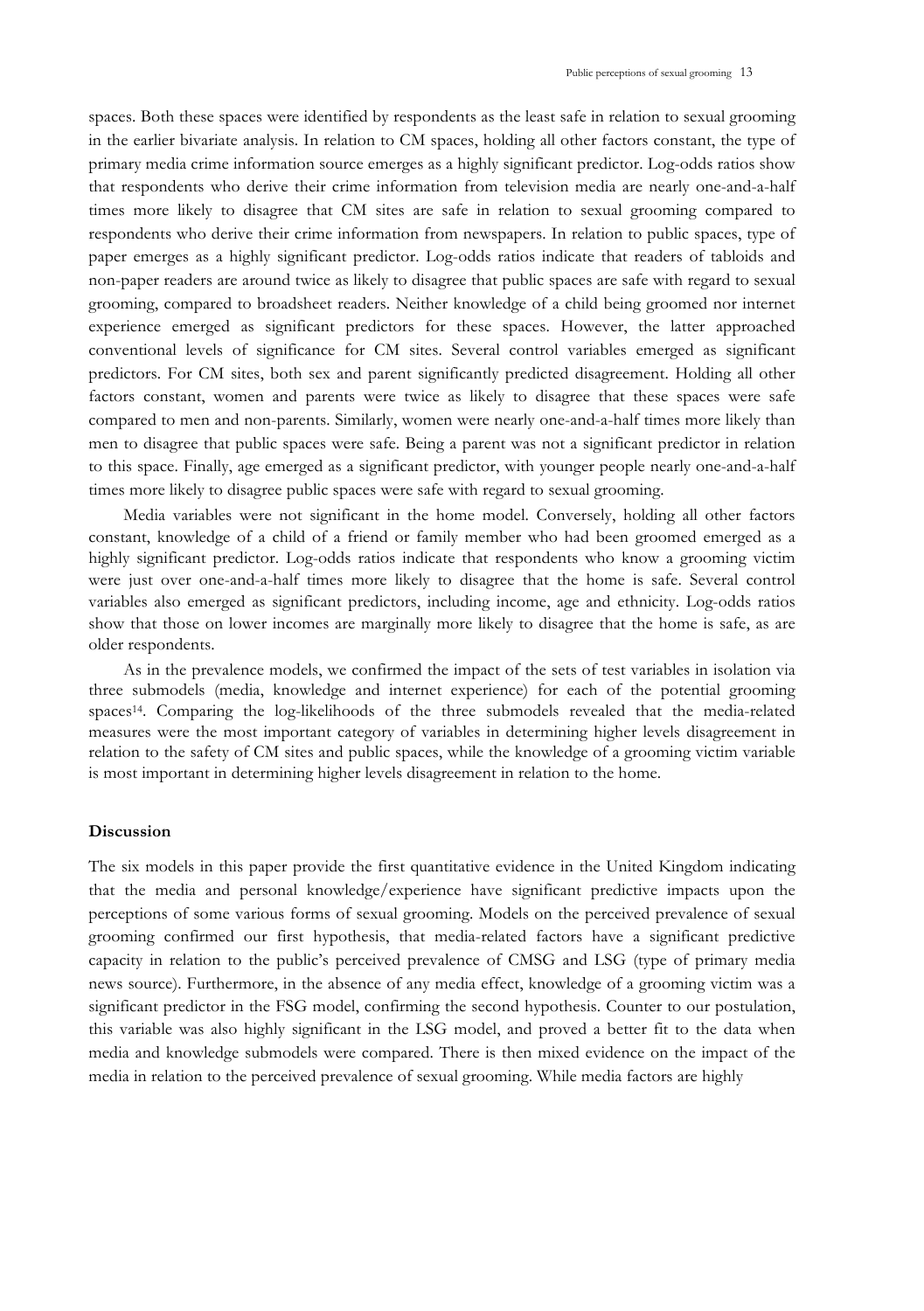spaces. Both these spaces were identified by respondents as the least safe in relation to sexual grooming in the earlier bivariate analysis. In relation to CM spaces, holding all other factors constant, the type of primary media crime information source emerges as a highly significant predictor. Log-odds ratios show that respondents who derive their crime information from television media are nearly one-and-a-half times more likely to disagree that CM sites are safe in relation to sexual grooming compared to respondents who derive their crime information from newspapers. In relation to public spaces, type of paper emerges as a highly significant predictor. Log-odds ratios indicate that readers of tabloids and non-paper readers are around twice as likely to disagree that public spaces are safe with regard to sexual grooming, compared to broadsheet readers. Neither knowledge of a child being groomed nor internet experience emerged as significant predictors for these spaces. However, the latter approached conventional levels of significance for CM sites. Several control variables emerged as significant predictors. For CM sites, both sex and parent significantly predicted disagreement. Holding all other factors constant, women and parents were twice as likely to disagree that these spaces were safe compared to men and non-parents. Similarly, women were nearly one-and-a-half times more likely than men to disagree that public spaces were safe. Being a parent was not a significant predictor in relation to this space. Finally, age emerged as a significant predictor, with younger people nearly one-and-a-half times more likely to disagree public spaces were safe with regard to sexual grooming.

Media variables were not significant in the home model. Conversely, holding all other factors constant, knowledge of a child of a friend or family member who had been groomed emerged as a highly significant predictor. Log-odds ratios indicate that respondents who know a grooming victim were just over one-and-a-half times more likely to disagree that the home is safe. Several control variables also emerged as significant predictors, including income, age and ethnicity. Log-odds ratios show that those on lower incomes are marginally more likely to disagree that the home is safe, as are older respondents.

As in the prevalence models, we confirmed the impact of the sets of test variables in isolation via three submodels (media, knowledge and internet experience) for each of the potential grooming spaces14. Comparing the log-likelihoods of the three submodels revealed that the media-related measures were the most important category of variables in determining higher levels disagreement in relation to the safety of CM sites and public spaces, while the knowledge of a grooming victim variable is most important in determining higher levels disagreement in relation to the home.

## **Discussion**

The six models in this paper provide the first quantitative evidence in the United Kingdom indicating that the media and personal knowledge/experience have significant predictive impacts upon the perceptions of some various forms of sexual grooming. Models on the perceived prevalence of sexual grooming confirmed our first hypothesis, that media-related factors have a significant predictive capacity in relation to the public's perceived prevalence of CMSG and LSG (type of primary media news source). Furthermore, in the absence of any media effect, knowledge of a grooming victim was a significant predictor in the FSG model, confirming the second hypothesis. Counter to our postulation, this variable was also highly significant in the LSG model, and proved a better fit to the data when media and knowledge submodels were compared. There is then mixed evidence on the impact of the media in relation to the perceived prevalence of sexual grooming. While media factors are highly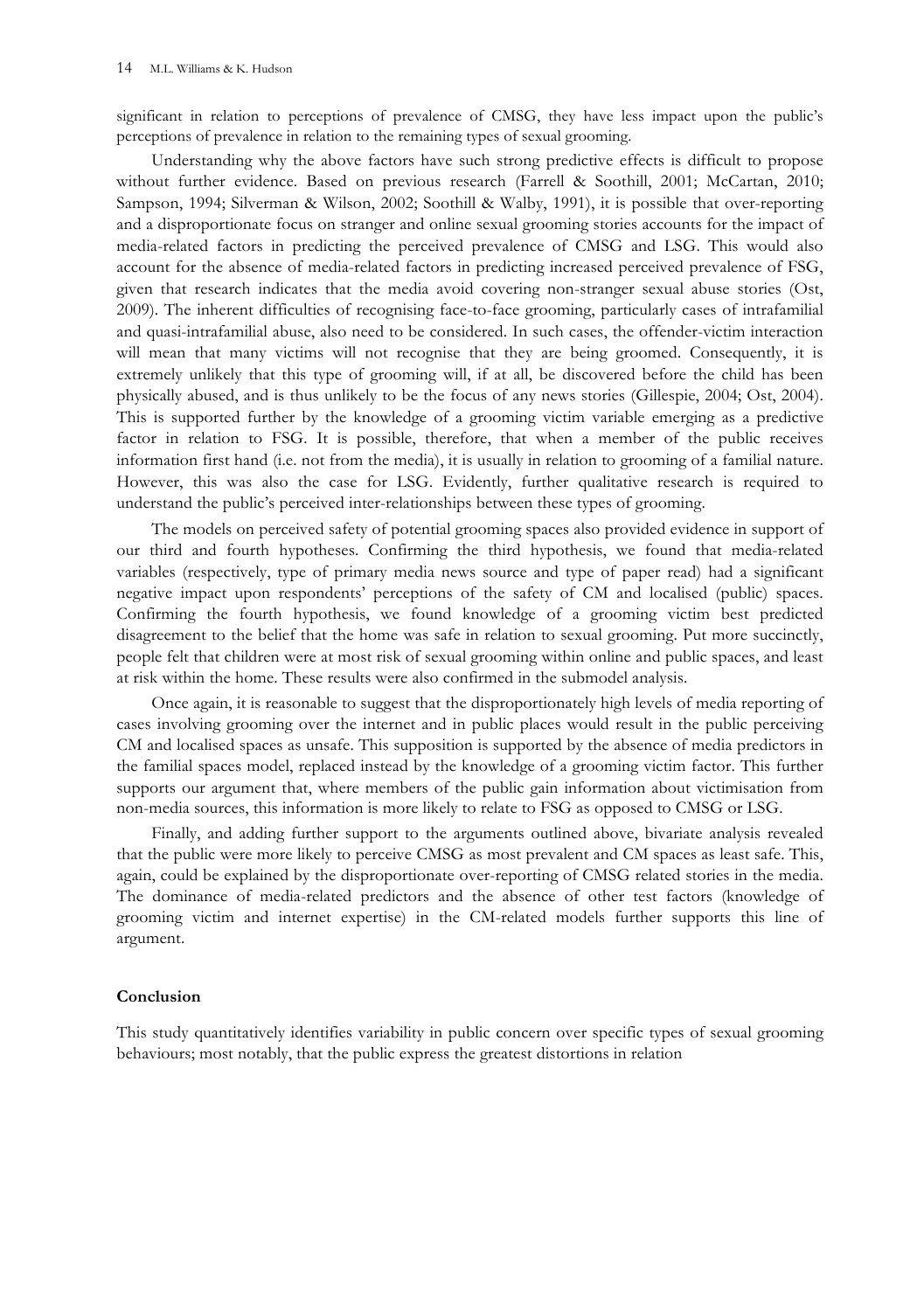significant in relation to perceptions of prevalence of CMSG, they have less impact upon the public's perceptions of prevalence in relation to the remaining types of sexual grooming.

Understanding why the above factors have such strong predictive effects is difficult to propose without further evidence. Based on previous research (Farrell & Soothill, 2001; McCartan, 2010; Sampson, 1994; Silverman & Wilson, 2002; Soothill & Walby, 1991), it is possible that over-reporting and a disproportionate focus on stranger and online sexual grooming stories accounts for the impact of media-related factors in predicting the perceived prevalence of CMSG and LSG. This would also account for the absence of media-related factors in predicting increased perceived prevalence of FSG, given that research indicates that the media avoid covering non-stranger sexual abuse stories (Ost, 2009). The inherent difficulties of recognising face-to-face grooming, particularly cases of intrafamilial and quasi-intrafamilial abuse, also need to be considered. In such cases, the offender-victim interaction will mean that many victims will not recognise that they are being groomed. Consequently, it is extremely unlikely that this type of grooming will, if at all, be discovered before the child has been physically abused, and is thus unlikely to be the focus of any news stories (Gillespie, 2004; Ost, 2004). This is supported further by the knowledge of a grooming victim variable emerging as a predictive factor in relation to FSG. It is possible, therefore, that when a member of the public receives information first hand (i.e. not from the media), it is usually in relation to grooming of a familial nature. However, this was also the case for LSG. Evidently, further qualitative research is required to understand the public's perceived inter-relationships between these types of grooming.

The models on perceived safety of potential grooming spaces also provided evidence in support of our third and fourth hypotheses. Confirming the third hypothesis, we found that media-related variables (respectively, type of primary media news source and type of paper read) had a significant negative impact upon respondents' perceptions of the safety of CM and localised (public) spaces. Confirming the fourth hypothesis, we found knowledge of a grooming victim best predicted disagreement to the belief that the home was safe in relation to sexual grooming. Put more succinctly, people felt that children were at most risk of sexual grooming within online and public spaces, and least at risk within the home. These results were also confirmed in the submodel analysis.

Once again, it is reasonable to suggest that the disproportionately high levels of media reporting of cases involving grooming over the internet and in public places would result in the public perceiving CM and localised spaces as unsafe. This supposition is supported by the absence of media predictors in the familial spaces model, replaced instead by the knowledge of a grooming victim factor. This further supports our argument that, where members of the public gain information about victimisation from non-media sources, this information is more likely to relate to FSG as opposed to CMSG or LSG.

Finally, and adding further support to the arguments outlined above, bivariate analysis revealed that the public were more likely to perceive CMSG as most prevalent and CM spaces as least safe. This, again, could be explained by the disproportionate over-reporting of CMSG related stories in the media. The dominance of media-related predictors and the absence of other test factors (knowledge of grooming victim and internet expertise) in the CM-related models further supports this line of argument.

#### **Conclusion**

This study quantitatively identifies variability in public concern over specific types of sexual grooming behaviours; most notably, that the public express the greatest distortions in relation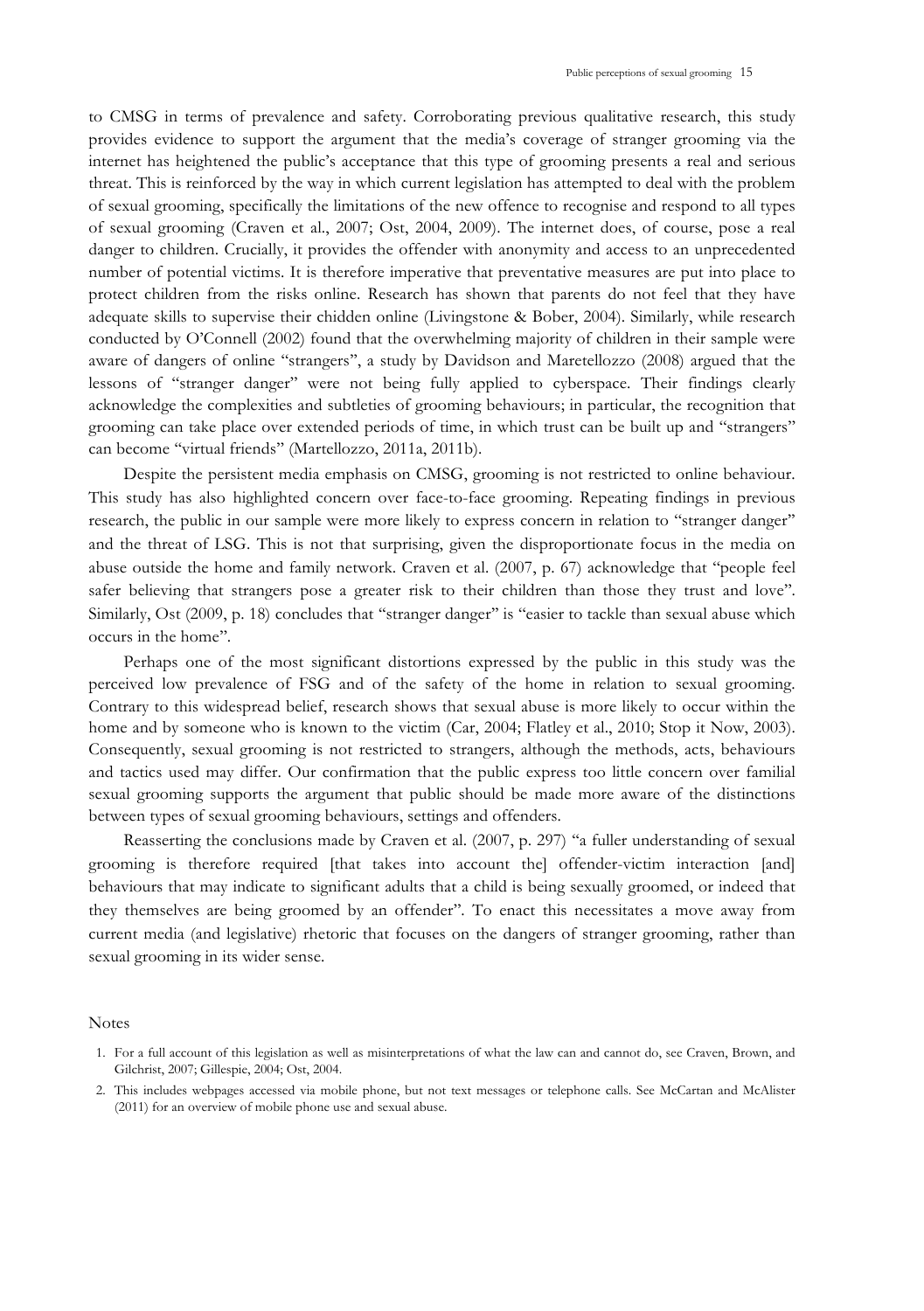to CMSG in terms of prevalence and safety. Corroborating previous qualitative research, this study provides evidence to support the argument that the media's coverage of stranger grooming via the internet has heightened the public's acceptance that this type of grooming presents a real and serious threat. This is reinforced by the way in which current legislation has attempted to deal with the problem of sexual grooming, specifically the limitations of the new offence to recognise and respond to all types of sexual grooming (Craven et al., 2007; Ost, 2004, 2009). The internet does, of course, pose a real danger to children. Crucially, it provides the offender with anonymity and access to an unprecedented number of potential victims. It is therefore imperative that preventative measures are put into place to protect children from the risks online. Research has shown that parents do not feel that they have adequate skills to supervise their chidden online (Livingstone & Bober, 2004). Similarly, while research conducted by O'Connell (2002) found that the overwhelming majority of children in their sample were aware of dangers of online ''strangers'', a study by Davidson and Maretellozzo (2008) argued that the lessons of ''stranger danger'' were not being fully applied to cyberspace. Their findings clearly acknowledge the complexities and subtleties of grooming behaviours; in particular, the recognition that grooming can take place over extended periods of time, in which trust can be built up and ''strangers'' can become ''virtual friends'' (Martellozzo, 2011a, 2011b).

Despite the persistent media emphasis on CMSG, grooming is not restricted to online behaviour. This study has also highlighted concern over face-to-face grooming. Repeating findings in previous research, the public in our sample were more likely to express concern in relation to "stranger danger" and the threat of LSG. This is not that surprising, given the disproportionate focus in the media on abuse outside the home and family network. Craven et al. (2007, p. 67) acknowledge that ''people feel safer believing that strangers pose a greater risk to their children than those they trust and love''. Similarly, Ost (2009, p. 18) concludes that ''stranger danger'' is ''easier to tackle than sexual abuse which occurs in the home''.

Perhaps one of the most significant distortions expressed by the public in this study was the perceived low prevalence of FSG and of the safety of the home in relation to sexual grooming. Contrary to this widespread belief, research shows that sexual abuse is more likely to occur within the home and by someone who is known to the victim (Car, 2004; Flatley et al., 2010; Stop it Now, 2003). Consequently, sexual grooming is not restricted to strangers, although the methods, acts, behaviours and tactics used may differ. Our confirmation that the public express too little concern over familial sexual grooming supports the argument that public should be made more aware of the distinctions between types of sexual grooming behaviours, settings and offenders.

Reasserting the conclusions made by Craven et al. (2007, p. 297) ''a fuller understanding of sexual grooming is therefore required [that takes into account the] offender-victim interaction [and] behaviours that may indicate to significant adults that a child is being sexually groomed, or indeed that they themselves are being groomed by an offender''. To enact this necessitates a move away from current media (and legislative) rhetoric that focuses on the dangers of stranger grooming, rather than sexual grooming in its wider sense.

#### Notes

<sup>1.</sup> For a full account of this legislation as well as misinterpretations of what the law can and cannot do, see Craven, Brown, and Gilchrist, 2007; Gillespie, 2004; Ost, 2004.

<sup>2.</sup> This includes webpages accessed via mobile phone, but not text messages or telephone calls. See McCartan and McAlister (2011) for an overview of mobile phone use and sexual abuse.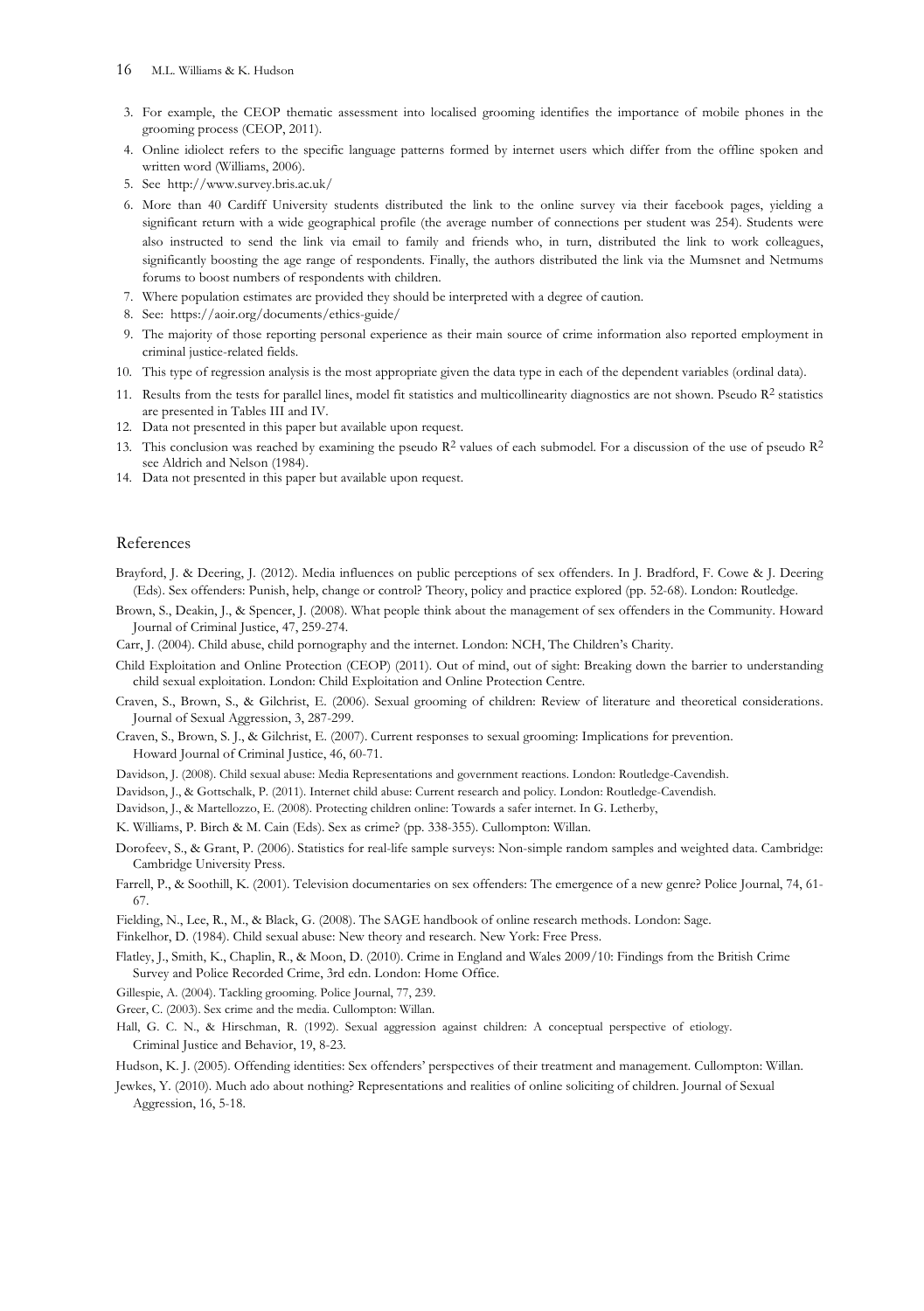- 3. For example, the CEOP thematic assessment into localised grooming identifies the importance of mobile phones in the grooming process (CEOP, 2011).
- 4. Online idiolect refers to the specific language patterns formed by internet users which differ from the offline spoken and written word (Williams, 2006).
- 5. See http://www.survey.bris.ac.uk/
- 6. More than 40 Cardiff University students distributed the link to the online survey via their facebook pages, yielding a significant return with a wide geographical profile (the average number of connections per student was 254). Students were also instructed to send the link via email to family and friends who, in turn, distributed the link to work colleagues, significantly boosting the age range of respondents. Finally, the authors distributed the link via the Mumsnet and Netmums forums to boost numbers of respondents with children.
- 7. Where population estimates are provided they should be interpreted with a degree of caution.
- 8. See: https://aoir.org/documents/ethics-guide/
- 9. The majority of those reporting personal experience as their main source of crime information also reported employment in criminal justice-related fields.
- 10. This type of regression analysis is the most appropriate given the data type in each of the dependent variables (ordinal data).
- 11. Results from the tests for parallel lines, model fit statistics and multicollinearity diagnostics are not shown. Pseudo R2 statistics are presented in Tables III and IV.
- 12. Data not presented in this paper but available upon request.
- 13. This conclusion was reached by examining the pseudo  $R^2$  values of each submodel. For a discussion of the use of pseudo  $R^2$ see Aldrich and Nelson (1984).
- 14. Data not presented in this paper but available upon request.

## References

- Brayford, J. & Deering, J. (2012). Media influences on public perceptions of sex offenders. In J. Bradford, F. Cowe & J. Deering (Eds). Sex offenders: Punish, help, change or control? Theory, policy and practice explored (pp. 52-68). London: Routledge.
- Brown, S., Deakin, J., & Spencer, J. (2008). What people think about the management of sex offenders in the Community. Howard Journal of Criminal Justice, 47, 259-274.
- Carr, J. (2004). Child abuse, child pornography and the internet. London: NCH, The Children's Charity.
- Child Exploitation and Online Protection (CEOP) (2011). Out of mind, out of sight: Breaking down the barrier to understanding child sexual exploitation. London: Child Exploitation and Online Protection Centre.
- Craven, S., Brown, S., & Gilchrist, E. (2006). Sexual grooming of children: Review of literature and theoretical considerations. Journal of Sexual Aggression, 3, 287-299.
- Craven, S., Brown, S. J., & Gilchrist, E. (2007). Current responses to sexual grooming: Implications for prevention. Howard Journal of Criminal Justice, 46, 60-71.
- Davidson, J. (2008). Child sexual abuse: Media Representations and government reactions. London: Routledge-Cavendish.
- Davidson, J., & Gottschalk, P. (2011). Internet child abuse: Current research and policy. London: Routledge-Cavendish.
- Davidson, J., & Martellozzo, E. (2008). Protecting children online: Towards a safer internet. In G. Letherby,
- K. Williams, P. Birch & M. Cain (Eds). Sex as crime? (pp. 338-355). Cullompton: Willan.
- Dorofeev, S., & Grant, P. (2006). Statistics for real-life sample surveys: Non-simple random samples and weighted data. Cambridge: Cambridge University Press.
- Farrell, P., & Soothill, K. (2001). Television documentaries on sex offenders: The emergence of a new genre? Police Journal, 74, 61- 67.
- Fielding, N., Lee, R., M., & Black, G. (2008). The SAGE handbook of online research methods. London: Sage.
- Finkelhor, D. (1984). Child sexual abuse: New theory and research. New York: Free Press.
- Flatley, J., Smith, K., Chaplin, R., & Moon, D. (2010). Crime in England and Wales 2009/10: Findings from the British Crime Survey and Police Recorded Crime, 3rd edn. London: Home Office.

Gillespie, A. (2004). Tackling grooming. Police Journal, 77, 239.

- Greer, C. (2003). Sex crime and the media. Cullompton: Willan.
- Hall, G. C. N., & Hirschman, R. (1992). Sexual aggression against children: A conceptual perspective of etiology. Criminal Justice and Behavior, 19, 8-23.
- Hudson, K. J. (2005). Offending identities: Sex offenders' perspectives of their treatment and management. Cullompton: Willan.
- Jewkes, Y. (2010). Much ado about nothing? Representations and realities of online soliciting of children. Journal of Sexual Aggression, 16, 5-18.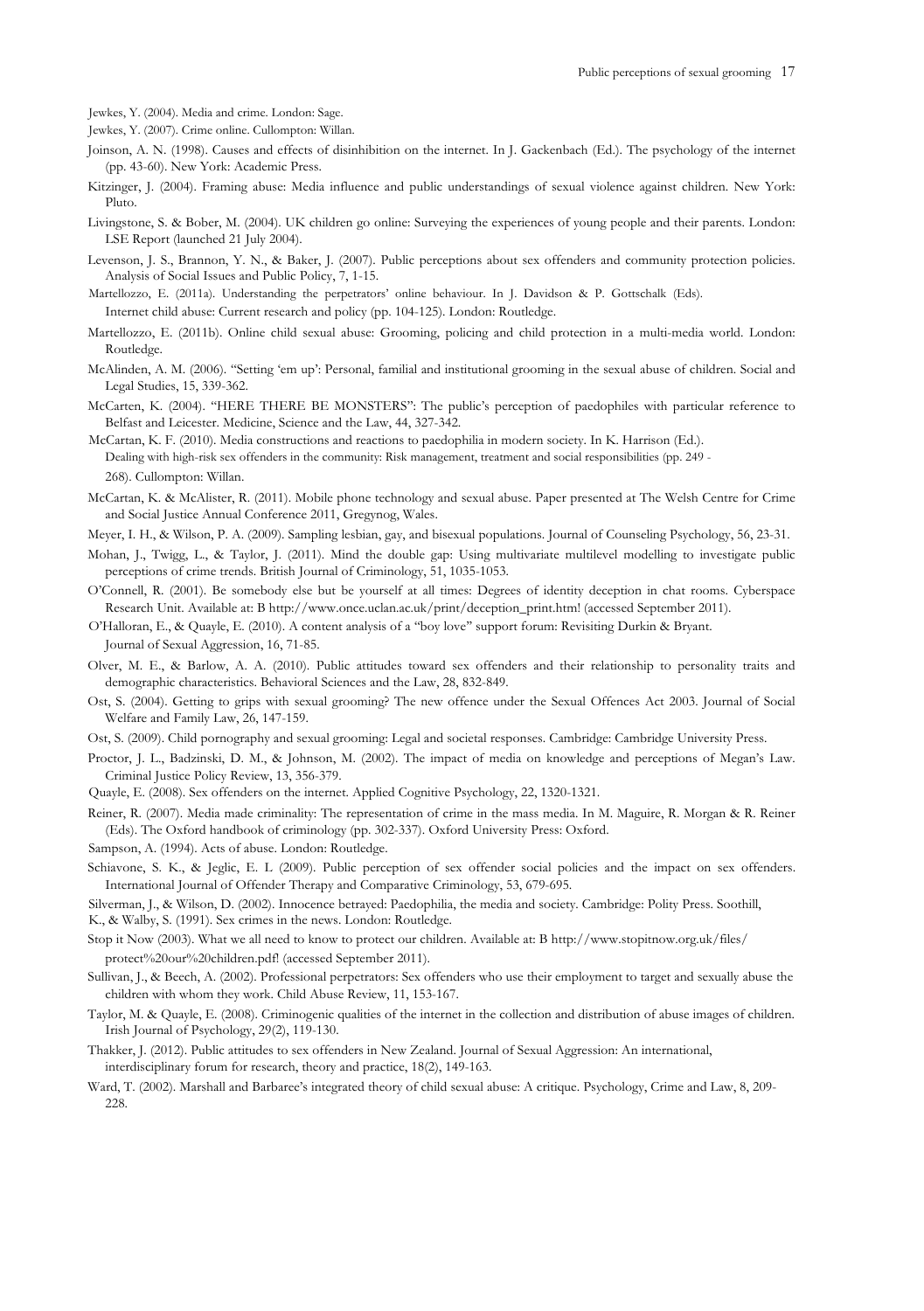Jewkes, Y. (2004). Media and crime. London: Sage.

- Jewkes, Y. (2007). Crime online. Cullompton: Willan.
- Joinson, A. N. (1998). Causes and effects of disinhibition on the internet. In J. Gackenbach (Ed.). The psychology of the internet (pp. 43-60). New York: Academic Press.
- Kitzinger, J. (2004). Framing abuse: Media influence and public understandings of sexual violence against children. New York: Pluto.
- Livingstone, S. & Bober, M. (2004). UK children go online: Surveying the experiences of young people and their parents. London: LSE Report (launched 21 July 2004).
- Levenson, J. S., Brannon, Y. N., & Baker, J. (2007). Public perceptions about sex offenders and community protection policies. Analysis of Social Issues and Public Policy, 7, 1-15.
- Martellozzo, E. (2011a). Understanding the perpetrators' online behaviour. In J. Davidson & P. Gottschalk (Eds). Internet child abuse: Current research and policy (pp. 104-125). London: Routledge.
- Martellozzo, E. (2011b). Online child sexual abuse: Grooming, policing and child protection in a multi-media world. London: Routledge.
- McAlinden, A. M. (2006). ''Setting 'em up': Personal, familial and institutional grooming in the sexual abuse of children. Social and Legal Studies, 15, 339-362.
- McCarten, K. (2004). ''HERE THERE BE MONSTERS'': The public's perception of paedophiles with particular reference to Belfast and Leicester. Medicine, Science and the Law, 44, 327-342.
- McCartan, K. F. (2010). Media constructions and reactions to paedophilia in modern society. In K. Harrison (Ed.). Dealing with high-risk sex offenders in the community: Risk management, treatment and social responsibilities (pp. 249 - 268). Cullompton: Willan.
- McCartan, K. & McAlister, R. (2011). Mobile phone technology and sexual abuse. Paper presented at The Welsh Centre for Crime and Social Justice Annual Conference 2011, Gregynog, Wales.
- Meyer, I. H., & Wilson, P. A. (2009). Sampling lesbian, gay, and bisexual populations. Journal of Counseling Psychology, 56, 23-31.
- Mohan, J., Twigg, L., & Taylor, J. (2011). Mind the double gap: Using multivariate multilevel modelling to investigate public perceptions of crime trends. British Journal of Criminology, 51, 1035-1053.
- O'Connell, R. (2001). Be somebody else but be yourself at all times: Degrees of identity deception in chat rooms. Cyberspace Research Unit. Available at: B http://www.once.uclan.ac.uk/print/deception\_print.htm! (accessed September 2011).
- O'Halloran, E., & Quayle, E. (2010). A content analysis of a ''boy love'' support forum: Revisiting Durkin & Bryant. Journal of Sexual Aggression, 16, 71-85.
- Olver, M. E., & Barlow, A. A. (2010). Public attitudes toward sex offenders and their relationship to personality traits and demographic characteristics. Behavioral Sciences and the Law, 28, 832-849.
- Ost, S. (2004). Getting to grips with sexual grooming? The new offence under the Sexual Offences Act 2003. Journal of Social Welfare and Family Law, 26, 147-159.
- Ost, S. (2009). Child pornography and sexual grooming: Legal and societal responses. Cambridge: Cambridge University Press.
- Proctor, J. L., Badzinski, D. M., & Johnson, M. (2002). The impact of media on knowledge and perceptions of Megan's Law. Criminal Justice Policy Review, 13, 356-379.
- Quayle, E. (2008). Sex offenders on the internet. Applied Cognitive Psychology, 22, 1320-1321.
- Reiner, R. (2007). Media made criminality: The representation of crime in the mass media. In M. Maguire, R. Morgan & R. Reiner (Eds). The Oxford handbook of criminology (pp. 302-337). Oxford University Press: Oxford.

Sampson, A. (1994). Acts of abuse. London: Routledge.

Schiavone, S. K., & Jeglic, E. L (2009). Public perception of sex offender social policies and the impact on sex offenders. International Journal of Offender Therapy and Comparative Criminology, 53, 679-695.

Silverman, J., & Wilson, D. (2002). Innocence betrayed: Paedophilia, the media and society. Cambridge: Polity Press. Soothill,

K., & Walby, S. (1991). Sex crimes in the news. London: Routledge.

- Stop it Now (2003). What we all need to know to protect our children. Available at: B http://www.stopitnow.org.uk/files/ protect%20our%20children.pdf! (accessed September 2011).
- Sullivan, J., & Beech, A. (2002). Professional perpetrators: Sex offenders who use their employment to target and sexually abuse the children with whom they work. Child Abuse Review, 11, 153-167.
- Taylor, M. & Quayle, E. (2008). Criminogenic qualities of the internet in the collection and distribution of abuse images of children. Irish Journal of Psychology, 29(2), 119-130.
- Thakker, J. (2012). Public attitudes to sex offenders in New Zealand. Journal of Sexual Aggression: An international, interdisciplinary forum for research, theory and practice, 18(2), 149-163.
- Ward, T. (2002). Marshall and Barbaree's integrated theory of child sexual abuse: A critique. Psychology, Crime and Law, 8, 209- 228.